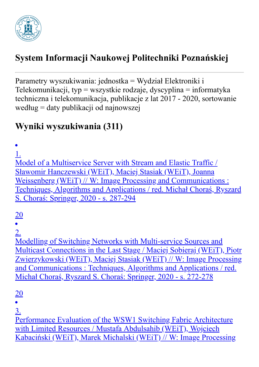

## **System Informacji Naukowej Politechniki Poznańskiej**

Parametry wyszukiwania: jednostka = Wydział Elektroniki i Telekomunikacji, typ = wszystkie rodzaje, dyscyplina = informatyka techniczna i telekomunikacja, publikacje z lat 2017 - 2020, sortowanie według = daty publikacji od najnowszej

## **Wyniki wyszukiwania (311)**

1.

Model of a Multiservice Server with Stream and Elastic Traffic / Sławomir Hanczewski (WEiT), Maciej Stasiak (WEiT), Joanna Weissenberg (WEiT) // W: Image Processing and Communications : Techniques, Algorithms and Applications / red. Michał Choraś, Ryszard S. Choraś: Springer, 2020 - s. 287-294

20

2.

Modelling of Switching Networks with Multi-service Sources and Multicast Connections in the Last Stage / Maciej Sobieraj (WEiT), Piotr Zwierzykowski (WEiT), Maciej Stasiak (WEiT) // W: Image Processing and Communications : Techniques, Algorithms and Applications / red. Michał Choraś, Ryszard S. Choraś: Springer, 2020 - s. 272-278

20

3.

Performance Evaluation of the WSW1 Switching Fabric Architecture with Limited Resources / Mustafa Abdulsahib (WEiT), Wojciech Kabaciński (WEiT), Marek Michalski (WEiT) // W: Image Processing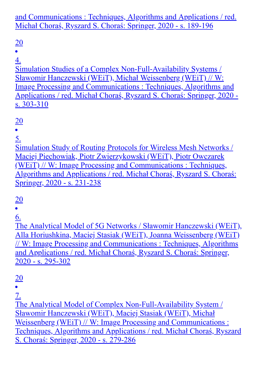and Communications : Techniques, Algorithms and Applications / red. Michał Choraś, Ryszard S. Choraś: Springer, 2020 - s. 189-196

## 20

4.

Simulation Studies of a Complex Non-Full-Availability Systems / Sławomir Hanczewski (WEiT), Michał Weissenberg (WEiT) // W: Image Processing and Communications : Techniques, Algorithms and Applications / red. Michał Choraś, Ryszard S. Choraś: Springer, 2020 s. 303-310

#### 20

5.

Simulation Study of Routing Protocols for Wireless Mesh Networks / Maciej Piechowiak, Piotr Zwierzykowski (WEiT), Piotr Owczarek (WEiT) // W: Image Processing and Communications : Techniques, Algorithms and Applications / red. Michał Choraś, Ryszard S. Choraś: Springer, 2020 - s. 231-238

# 20

6.

The Analytical Model of 5G Networks / Sławomir Hanczewski (WEiT), Alla Horiushkina, Maciej Stasiak (WEiT), Joanna Weissenberg (WEiT) // W: Image Processing and Communications : Techniques, Algorithms and Applications / red. Michał Choraś, Ryszard S. Choraś: Springer, 2020 - s. 295-302

# 20

7.

The Analytical Model of Complex Non-Full-Availability System / Sławomir Hanczewski (WEiT), Maciej Stasiak (WEiT), Michał Weissenberg (WEiT) // W: Image Processing and Communications : Techniques, Algorithms and Applications / red. Michał Choraś, Ryszard S. Choraś: Springer, 2020 - s. 279-286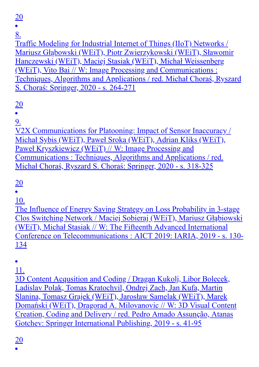Traffic Modeling for Industrial Internet of Things (IIoT) Networks / Mariusz Głąbowski (WEiT), Piotr Zwierzykowski (WEiT), Sławomir Hanczewski (WEiT), Maciej Stasiak (WEiT), Michał Weissenberg (WEiT), Vito Bai // W: Image Processing and Communications : Techniques, Algorithms and Applications / red. Michał Choraś, Ryszard S. Choraś: Springer, 2020 - s. 264-271

20

9.

V2X Communications for Platooning: Impact of Sensor Inaccuracy / Michał Sybis (WEiT), Paweł Sroka (WEiT), Adrian Kliks (WEiT), Paweł Kryszkiewicz (WEiT) // W: Image Processing and Communications : Techniques, Algorithms and Applications / red. Michał Choraś, Ryszard S. Choraś: Springer, 2020 - s. 318-325

20

10.

The Influence of Energy Saving Strategy on Loss Probability in 3-stage Clos Switching Network / Maciej Sobieraj (WEiT), Mariusz Głąbiowski (WEiT), Michał Stasiak // W: The Fifteenth Advanced International Conference on Telecommunications : AICT 2019: IARIA, 2019 - s. 130- 134

11.

3D Content Acqusition and Coding / Dragan Kukolj, Libor Bolecek, Ladislav Polak, Tomas Kratochvil, Ondrej Zach, Jan Kufa, Martin Slanina, Tomasz Grajek (WEiT), Jarosław Samelak (WEiT), Marek Domański (WEiT), Dragorad A. Milovanovic // W: 3D Visual Content Creation, Coding and Delivery / red. Pedro Amado Assunção, Atanas Gotchev: Springer International Publishing, 2019 - s. 41-95

20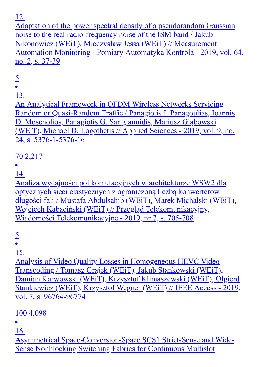Adaptation of the power spectral density of a pseudorandom Gaussian noise to the real radio-frequency noise of the ISM band / Jakub Nikonowicz (WEiT), Mieczysław Jessa (WEiT) // Measurement Automation Monitoring - Pomiary Automatyka Kontrola - 2019, vol. 64, no. 2, s. 37-39

5

13.

An Analytical Framework in OFDM Wireless Networks Servicing Random or Quasi-Random Traffic / Panagiotis I. Panagoulias, Ioannis D. Moscholios, Panagiotis G. Sarigiannidis, Mariusz Głąbowski (WEiT), Michael D. Logothetis // Applied Sciences - 2019, vol. 9, no. 24, s. 5376-1-5376-16

## 70 2,217

14.

Analiza wydajności pól komutacyjnych w architekturze WSW2 dla optycznych sieci elastycznych z ograniczoną liczbą konwerterów długości fali / Mustafa Abdulsahib (WEiT), Marek Michalski (WEiT), Wojciech Kabaciński (WEiT) // Przegląd Telekomunikacyjny, Wiadomości Telekomunikacyjne - 2019, nr 7, s. 705-708

5

15.

Analysis of Video Quality Losses in Homogeneous HEVC Video Transcoding / Tomasz Grajek (WEiT), Jakub Stankowski (WEiT), Damian Karwowski (WEiT), Krzysztof Klimaszewski (WEiT), Olgierd Stankiewicz (WEiT), Krzysztof Wegner (WEiT) // IEEE Access - 2019, vol. 7, s. 96764-96774

100 4,098

16.

Asymmetrical Space-Conversion-Space SCS1 Strict-Sense and Wide-Sense Nonblocking Switching Fabrics for Continuous Multislot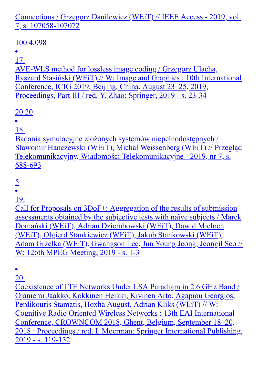Connections / Grzegorz Danilewicz (WEiT) // IEEE Access - 2019, vol. 7, s. 107058-107072

#### 100 4,098

#### $\bullet$

17.

AVE-WLS method for lossless image coding / Grzegorz Ulacha, Ryszard Stasiński (WEiT) // W: Image and Graphics : 10th International Conference, ICIG 2019, Beijing, China, August 23–25, 2019, Proceedings, Part III / red. Y. Zhao: Springer, 2019 - s. 23-34

#### 20 20

18.

Badania symulacyjne złożonych systemów niepełnodostępnych / Sławomir Hanczewski (WEiT), Michał Weissenberg (WEiT) // Przegląd Telekomunikacyjny, Wiadomości Telekomunikacyjne - 2019, nr 7, s. 688-693

 $rac{5}{•}$ 

19.

Call for Proposals on 3DoF+: Aggregation of the results of submission assessments obtained by the subjective tests with naïve subjects / Marek Domański (WEiT), Adrian Dziembowski (WEiT), Dawid Mieloch (WEiT), Olgierd Stankiewicz (WEiT), Jakub Stankowski (WEiT), Adam Grzelka (WEiT), Gwangson Lee, Jun Young Jeong, Jeongil Seo // W: 126th MPEG Meeting, 2019 - s. 1-3

20.

Coexistence of LTE Networks Under LSA Paradigm in 2.6 GHz Band / Ojaniemi Jaakko, Kokkinen Heikki, Kivinen Arto, Agapiou Georgios, Perdikouris Stamatis, Hoxha August, Adrian Kliks (WEiT) // W: Cognitive Radio Oriented Wireless Networks : 13th EAI International Conference, CROWNCOM 2018, Ghent, Belgium, September 18–20, 2018 : Proceedings / red. I. Moerman: Springer International Publishing, 2019 - s. 119-132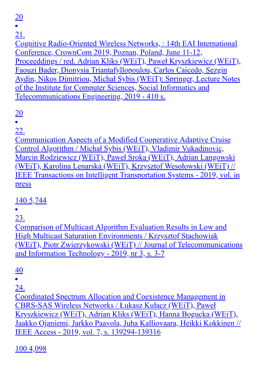20

## 21.

Cognitive Radio-Oriented Wireless Networks, : 14th EAI International Conference, CrownCom 2019, Poznan, Poland, June 11-12, Proceeddings / red. Adrian Kliks (WEiT), Paweł Kryszkiewicz (WEiT), Faouzi Bader, Dionysia Triantafyllopoulou, Carlos Caicedo, Sezgin Aydin, Nikos Dimitriou, Michał Sybis (WEiT): Springer, Lecture Notes of the Institute for Computer Sciences, Social Informatics and Telecommunications Engineering, 2019 - 410 s.

20

22.

Communication Aspects of a Modified Cooperative Adaptive Cruise Control Algorithm / Michał Sybis (WEiT), Vladimir Vukadinovic, Marcin Rodziewicz (WEiT), Paweł Sroka (WEiT), Adrian Langowski (WEiT), Karolina Lenarska (WEiT), Krzysztof Wesołowski (WEiT) // IEEE Transactions on Intelligent Transportation Systems - 2019, vol. in press

140 5,744

23.

Comparison of Multicast Algorithm Evaluation Results in Low and High Multicast Saturation Environments / Krzysztof Stachowiak (WEiT), Piotr Zwierzykowski (WEiT) // Journal of Telecommunications and Information Technology - 2019, nr 3, s. 3-7

 $\frac{40}{•}$ 

24.

Coordinated Spectrum Allocation and Coexistence Management in CBRS-SAS Wireless Networks / Łukasz Kułacz (WEiT), Paweł Kryszkiewicz (WEiT), Adrian Kliks (WEiT), Hanna Bogucka (WEiT), Jaakko Ojaniemi, Jarkko Paavola, Juha Kalliovaara, Heikki Kokkinen // IEEE Access - 2019, vol. 7, s. 139294-139316

100 4,098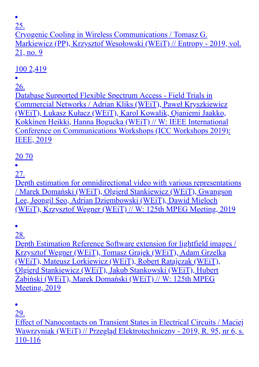$\bullet$ 

25.

Cryogenic Cooling in Wireless Communications / Tomasz G. Markiewicz (PP), Krzysztof Wesołowski (WEiT) // Entropy - 2019, vol. 21, no. 9

## 100 2,419

#### 26.

Database Supported Flexible Spectrum Access - Field Trials in Commercial Networks / Adrian Kliks (WEiT), Paweł Kryszkiewicz (WEiT), Łukasz Kułacz (WEiT), Karol Kowalik, Ojaniemi Jaakko, Kokkinen Heikki, Hanna Bogucka (WEiT) // W: IEEE International Conference on Communications Workshops (ICC Workshops 2019): IEEE, 2019

#### 20 70

#### 27.

Depth estimation for omnidirectional video with various representations / Marek Domański (WEiT), Olgierd Stankiewicz (WEiT), Gwangson Lee, Jeongil Seo, Adrian Dziembowski (WEiT), Dawid Mieloch (WEiT), Krzysztof Wegner (WEiT) // W: 125th MPEG Meeting, 2019

28.

Depth Estimation Reference Software extension for lightfield images / Krzysztof Wegner (WEiT), Tomasz Grajek (WEiT), Adam Grzelka (WEiT), Mateusz Lorkiewicz (WEiT), Robert Ratajczak (WEiT), Olgierd Stankiewicz (WEiT), Jakub Stankowski (WEiT), Hubert Żabiński (WEiT), Marek Domański (WEiT) // W: 125th MPEG Meeting, 2019

 $\bullet$ 29.

Effect of Nanocontacts on Transient States in Electrical Circuits / Maciej Wawrzyniak (WEiT) // Przegląd Elektrotechniczny - 2019, R. 95, nr 6, s. 110-116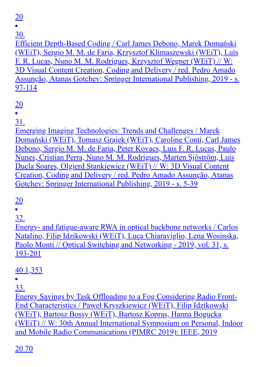20

30.

Efficient Depth-Based Coding / Carl James Debono, Marek Domański (WEiT), Sergio M. M. de Faria, Krzysztof Klimaszewski (WEiT), Luís F. R. Lucas, Nuno M. M. Rodrigues, Krzysztof Wegner (WEiT) // W: 3D Visual Content Creation, Coding and Delivery / red. Pedro Amado Assunção, Atanas Gotchev: Springer International Publishing, 2019 - s. 97-114

20

31.

Emerging Imaging Technologies: Trends and Challenges / Marek Domański (WEiT), Tomasz Grajek (WEiT), Caroline Conti, Carl James Debono, Sergio M. M. de Faria, Peter Kovacs, Luis F. R. Lucas, Paulo Nunes, Cristian Perra, Nuno M. M. Rodrigues, Marten Sjöström, Luis Ducla Soares, Olgierd Stankiewicz (WEiT) // W: 3D Visual Content Creation, Coding and Delivery / red. Pedro Amado Assunção, Atanas Gotchev: Springer International Publishing, 2019 - s. 5-39

20

32.

Energy- and fatigue-aware RWA in optical backbone networks / Carlos Natalino, Filip Idzikowski (WEiT), Luca Chiaraviglio, Lena Wosinska, Paolo Monti // Optical Switching and Networking - 2019, vol. 31, s. 193-201

40 1,353

33.

Energy Savings by Task Offloading to a Fog Considering Radio Front-End Characteristics / Paweł Kryszkiewicz (WEiT), Filip Idzikowski (WEiT), Bartosz Bossy (WEiT), Bartosz Kopras, Hanna Bogucka (WEiT) // W: 30th Annual International Symposium on Personal, Indoor and Mobile Radio Communications (PIMRC 2019): IEEE, 2019

20 70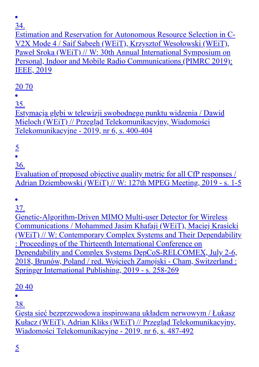Estimation and Reservation for Autonomous Resource Selection in C-V2X Mode 4 / Saif Sabeeh (WEiT), Krzysztof Wesołowski (WEiT), Paweł Sroka (WEiT) // W: 30th Annual International Symposium on Personal, Indoor and Mobile Radio Communications (PIMRC 2019): IEEE, 2019

## 20 70

35.

Estymacja głębi w telewizji swobodnego punktu widzenia / Dawid Mieloch (WEiT) // Przegląd Telekomunikacyjny, Wiadomości Telekomunikacyjne - 2019, nr 6, s. 400-404

 $rac{5}{•}$ 

36.

Evaluation of proposed objective quality metric for all CfP responses / Adrian Dziembowski (WEiT) // W: 127th MPEG Meeting, 2019 - s. 1-5

 $\bullet$ 

37.

Genetic-Algorithm-Driven MIMO Multi-user Detector for Wireless Communications / Mohammed Jasim Khafaji (WEiT), Maciej Krasicki (WEiT) // W: Contemporary Complex Systems and Their Dependability : Proceedings of the Thirteenth International Conference on Dependability and Complex Systems DepCoS-RELCOMEX, July 2-6, 2018, Brunów, Poland / red. Wojciech Zamojski - Cham, Switzerland : Springer International Publishing, 2019 - s. 258-269

## 20 40

38.

Gęsta sieć bezprzewodowa inspirowana układem nerwowym / Łukasz Kułacz (WEiT), Adrian Kliks (WEiT) // Przegląd Telekomunikacyjny, Wiadomości Telekomunikacyjne - 2019, nr 6, s. 487-492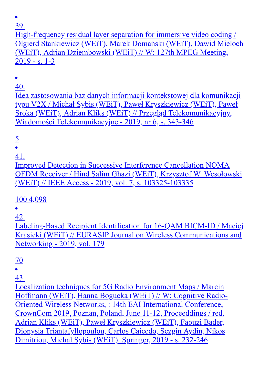$\bullet$ 

39.

High-frequency residual layer separation for immersive video coding / Olgierd Stankiewicz (WEiT), Marek Domański (WEiT), Dawid Mieloch (WEiT), Adrian Dziembowski (WEiT) // W: 127th MPEG Meeting, 2019 - s. 1-3

40.

Idea zastosowania baz danych informacji kontekstowej dla komunikacji typu V2X / Michał Sybis (WEiT), Paweł Kryszkiewicz (WEiT), Paweł Sroka (WEiT), Adrian Kliks (WEiT) // Przegląd Telekomunikacyjny, Wiadomości Telekomunikacyjne - 2019, nr 6, s. 343-346

5

41.

Improved Detection in Successive Interference Cancellation NOMA OFDM Receiver / Hind Salim Ghazi (WEiT), Krzysztof W. Wesołowski (WEiT) // IEEE Access - 2019, vol. 7, s. 103325-103335

100 4,098

42.

Labeling-Based Recipient Identification for 16-QAM BICM-ID / Maciej Krasicki (WEiT) // EURASIP Journal on Wireless Communications and Networking - 2019, vol. 179

70

43.

Localization techniques for 5G Radio Environment Maps / Marcin Hoffmann (WEiT), Hanna Bogucka (WEiT) // W: Cognitive Radio-Oriented Wireless Networks, : 14th EAI International Conference, CrownCom 2019, Poznan, Poland, June 11-12, Proceeddings / red. Adrian Kliks (WEiT), Paweł Kryszkiewicz (WEiT), Faouzi Bader, Dionysia Triantafyllopoulou, Carlos Caicedo, Sezgin Aydin, Nikos Dimitriou, Michał Sybis (WEiT): Springer, 2019 - s. 232-246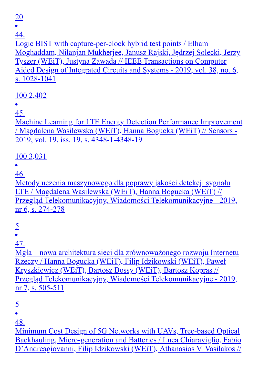20

44.

Logic BIST with capture-per-clock hybrid test points / Elham Moghaddam, Nilanjan Mukherjee, Janusz Rajski, Jędrzej Solecki, Jerzy Tyszer (WEiT), Justyna Zawada // IEEE Transactions on Computer Aided Design of Integrated Circuits and Systems - 2019, vol. 38, no. 6, s. 1028-1041

100 2,402

45.

Machine Learning for LTE Energy Detection Performance Improvement / Magdalena Wasilewska (WEiT), Hanna Bogucka (WEiT) // Sensors - 2019, vol. 19, iss. 19, s. 4348-1-4348-19

#### 100 3,031

46.

Metody uczenia maszynowego dla poprawy jakości detekcji sygnału LTE / Magdalena Wasilewska (WEiT), Hanna Bogucka (WEiT) // Przegląd Telekomunikacyjny, Wiadomości Telekomunikacyjne - 2019, nr 6, s. 274-278

5

47.

Mgła – nowa architektura sieci dla zrównoważonego rozwoju Internetu Rzeczy / Hanna Bogucka (WEiT), Filip Idzikowski (WEiT), Paweł Kryszkiewicz (WEiT), Bartosz Bossy (WEiT), Bartosz Kopras // Przegląd Telekomunikacyjny, Wiadomości Telekomunikacyjne - 2019, nr 7, s. 505-511

5

48.

Minimum Cost Design of 5G Networks with UAVs, Tree-based Optical Backhauling, Micro-generation and Batteries / Luca Chiaraviglio, Fabio D'Andreagiovanni, Filip Idzikowski (WEiT), Athanasios V. Vasilakos //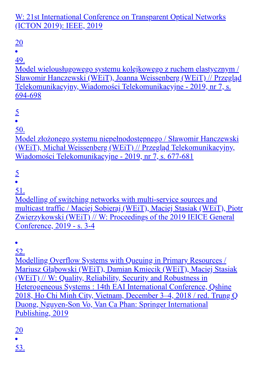W: 21st International Conference on Transparent Optical Networks (ICTON 2019): IEEE, 2019

## 20

49.

Model wielousługowego systemu kolejkowego z ruchem elastycznym / Sławomir Hanczewski (WEiT), Joanna Weissenberg (WEiT) // Przegląd Telekomunikacyjny, Wiadomości Telekomunikacyjne - 2019, nr 7, s. 694-698

50.

Model złożonego systemu niepełnodostępnego / Sławomir Hanczewski (WEiT), Michał Weissenberg (WEiT) // Przegląd Telekomunikacyjny, Wiadomości Telekomunikacyjne - 2019, nr 7, s. 677-681

5

51.

Modelling of switching networks with multi-service sources and multicast traffic / Maciej Sobieraj (WEiT), Maciej Stasiak (WEiT), Piotr Zwierzykowski (WEiT) // W: Proceedings of the 2019 IEICE General Conference, 2019 - s. 3-4

52.

Modelling Overflow Systems with Queuing in Primary Resources / Mariusz Głąbowski (WEiT), Damian Kmiecik (WEiT), Maciej Stasiak (WEiT) // W: Quality, Reliability, Security and Robustness in Heterogeneous Systems : 14th EAI International Conference, Qshine 2018, Ho Chi Minh City, Vietnam, December 3–4, 2018 / red. Trung Q Duong, Nguyen-Son Vo, Van Ca Phan: Springer International Publishing, 2019

20

53.

<sup>5</sup>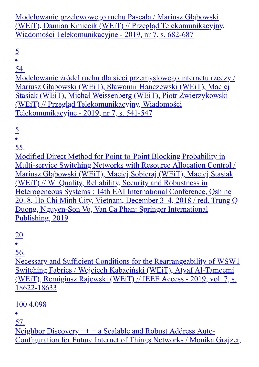Modelowanie przelewowego ruchu Pascala / Mariusz Głąbowski (WEiT), Damian Kmiecik (WEiT) // Przegląd Telekomunikacyjny, Wiadomości Telekomunikacyjne - 2019, nr 7, s. 682-687

5

54.

Modelowanie źródeł ruchu dla sieci przemysłowego internetu rzeczy / Mariusz Głąbowski (WEiT), Sławomir Hanczewski (WEiT), Maciej Stasiak (WEiT), Michał Weissenberg (WEiT), Piotr Zwierzykowski (WEiT) // Przegląd Telekomunikacyjny, Wiadomości Telekomunikacyjne - 2019, nr 7, s. 541-547

5

 $\bullet$ 

55.

Modified Direct Method for Point-to-Point Blocking Probability in Multi-service Switching Networks with Resource Allocation Control / Mariusz Głąbowski (WEiT), Maciej Sobieraj (WEiT), Maciej Stasiak (WEiT) // W: Quality, Reliability, Security and Robustness in Heterogeneous Systems : 14th EAI International Conference, Qshine 2018, Ho Chi Minh City, Vietnam, December 3–4, 2018 / red. Trung Q Duong, Nguyen-Son Vo, Van Ca Phan: Springer International Publishing, 2019

20

56.

Necessary and Sufficient Conditions for the Rearrangeability of WSW1 Switching Fabrics / Wojciech Kabaciński (WEiT), Atyaf Al-Tameemi (WEiT), Remigiusz Rajewski (WEiT) // IEEE Access - 2019, vol. 7, s. 18622-18633

100 4,098

57.

Neighbor Discovery + + − a Scalable and Robust Address Auto-Configuration for Future Internet of Things Networks / Monika Grajzer,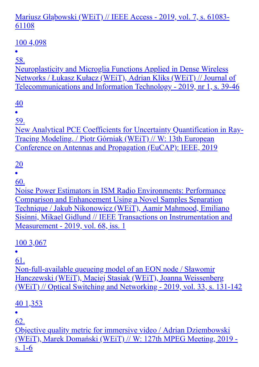#### Mariusz Głąbowski (WEiT) // IEEE Access - 2019, vol. 7, s. 61083- 61108

## 100 4,098

 $\bullet$ 

58. Neuroplasticity and Microglia Functions Applied in Dense Wireless Networks / Łukasz Kułacz (WEiT), Adrian Kliks (WEiT) // Journal of Telecommunications and Information Technology - 2019, nr 1, s. 39-46

## 40

59.

New Analytical PCE Coefficients for Uncertainty Quantification in Ray-Tracing Modeling. / Piotr Górniak (WEiT) // W: 13th European Conference on Antennas and Propagation (EuCAP): IEEE, 2019

## 20

60.

Noise Power Estimators in ISM Radio Environments: Performance Comparison and Enhancement Using a Novel Samples Separation Technique / Jakub Nikonowicz (WEiT), Aamir Mahmood, Emiliano Sisinni, Mikael Gidlund // IEEE Transactions on Instrumentation and Measurement - 2019, vol. 68, iss. 1

## 100 3,067

61.

Non-full-available queueing model of an EON node / Sławomir Hanczewski (WEiT), Maciej Stasiak (WEiT), Joanna Weissenberg (WEiT) // Optical Switching and Networking - 2019, vol. 33, s. 131-142

## 40 1,353

62.

Objective quality metric for immersive video / Adrian Dziembowski (WEiT), Marek Domański (WEiT) // W: 127th MPEG Meeting, 2019 s. 1-6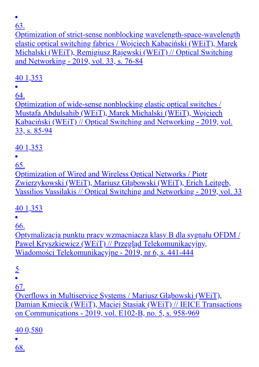Optimization of strict-sense nonblocking wavelength-space-wavelength elastic optical switching fabrics / Wojciech Kabaciński (WEiT), Marek Michalski (WEiT), Remigiusz Rajewski (WEiT) // Optical Switching and Networking - 2019, vol. 33, s. 76-84

## 40 1,353

64.

Optimization of wide-sense nonblocking elastic optical switches / Mustafa Abdulsahib (WEiT), Marek Michalski (WEiT), Wojciech Kabaciński (WEiT) // Optical Switching and Networking - 2019, vol. 33, s. 85-94

## 40 1,353

65.

Optimization of Wired and Wireless Optical Networks / Piotr Zwierzykowski (WEiT), Mariusz Głąbowski (WEiT), Erich Leitgeb, Vassilios Vassilakis // Optical Switching and Networking - 2019, vol. 33

## 40 1,353

 $\bullet$ 

66.

Optymalizacja punktu pracy wzmacniacza klasy B dla sygnału OFDM / Paweł Kryszkiewicz (WEiT) // Przegląd Telekomunikacyjny, Wiadomości Telekomunikacyjne - 2019, nr 6, s. 441-444

5

67.

Overflows in Multiservice Systems / Mariusz Głąbowski (WEiT), Damian Kmiecik (WEiT), Maciej Stasiak (WEiT) // IEICE Transactions on Communications - 2019, vol. E102-B, no. 5, s. 958-969

40 0,580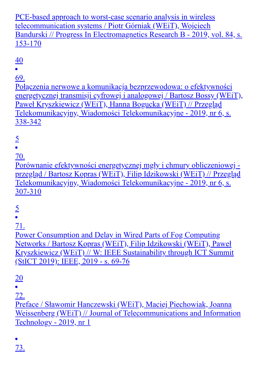PCE-based approach to worst-case scenario analysis in wireless telecommunication systems / Piotr Górniak (WEiT), Wojciech Bandurski // Progress In Electromagnetics Research B - 2019, vol. 84, s. 153-170

40

69.

Połączenia nerwowe a komunikacja bezprzewodowa: o efektywności energetycznej transmisji cyfrowej i analogowej / Bartosz Bossy (WEiT), Paweł Kryszkiewicz (WEiT), Hanna Bogucka (WEiT) // Przegląd Telekomunikacyjny, Wiadomości Telekomunikacyjne - 2019, nr 6, s. 338-342

 $rac{5}{•}$ 

70.

Porównanie efektywności energetycznej mgły i chmury obliczeniowej przegląd / Bartosz Kopras (WEiT), Filip Idzikowski (WEiT) // Przegląd Telekomunikacyjny, Wiadomości Telekomunikacyjne - 2019, nr 6, s. 307-310

 $rac{5}{•}$ 

71.

Power Consumption and Delay in Wired Parts of Fog Computing Networks / Bartosz Kopras (WEiT), Filip Idzikowski (WEiT), Paweł Kryszkiewicz (WEiT) // W: IEEE Sustainability through ICT Summit (StICT 2019): IEEE, 2019 - s. 69-76

20

72.

Preface / Sławomir Hanczewski (WEiT), Maciej Piechowiak, Joanna Weissenberg (WEiT) // Journal of Telecommunications and Information Technology - 2019, nr 1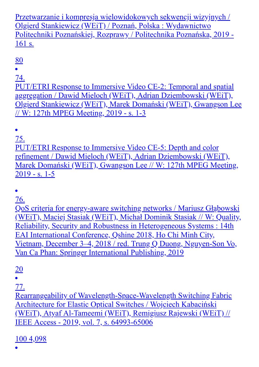Przetwarzanie i kompresja wielowidokowych sekwencji wizyjnych / Olgierd Stankiewicz (WEiT) / Poznań, Polska : Wydawnictwo Politechniki Poznańskiej, Rozprawy / Politechnika Poznańska, 2019 - 161 s.

80

 $\bullet$ 

74.

PUT/ETRI Response to Immersive Video CE-2: Temporal and spatial aggregation / Dawid Mieloch (WEiT), Adrian Dziembowski (WEiT), Olgierd Stankiewicz (WEiT), Marek Domański (WEiT), Gwangson Lee // W: 127th MPEG Meeting, 2019 - s. 1-3

 $\bullet$ 

75. PUT/ETRI Response to Immersive Video CE-5: Depth and color refinement / Dawid Mieloch (WEiT), Adrian Dziembowski (WEiT), Marek Domański (WEiT), Gwangson Lee // W: 127th MPEG Meeting,  $2019 - s. 1 - 5$ 

 $\bullet$ 

76.

QoS criteria for energy-aware switching networks / Mariusz Głąbowski (WEiT), Maciej Stasiak (WEiT), Michał Dominik Stasiak // W: Quality, Reliability, Security and Robustness in Heterogeneous Systems : 14th EAI International Conference, Qshine 2018, Ho Chi Minh City, Vietnam, December 3–4, 2018 / red. Trung Q Duong, Nguyen-Son Vo, Van Ca Phan: Springer International Publishing, 2019

20

77.

Rearrangeability of Wavelength-Space-Wavelength Switching Fabric Architecture for Elastic Optical Switches / Wojciech Kabaciński (WEiT), Atyaf Al-Tameemi (WEiT), Remigiusz Rajewski (WEiT) // IEEE Access - 2019, vol. 7, s. 64993-65006

100 4,098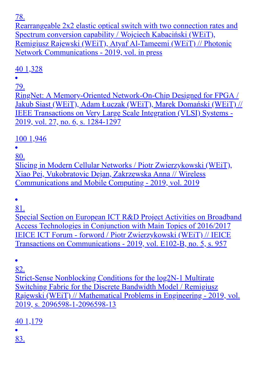Rearrangeable 2x2 elastic optical switch with two connection rates and Spectrum conversion capability / Wojciech Kabaciński (WEiT), Remigiusz Rajewski (WEiT), Atyaf Al-Tameemi (WEiT) // Photonic Network Communications - 2019, vol. in press

## 40 1,328

79.

RingNet: A Memory-Oriented Network-On-Chip Designed for FPGA / Jakub Siast (WEiT), Adam Łuczak (WEiT), Marek Domański (WEiT) // IEEE Transactions on Very Large Scale Integration (VLSI) Systems - 2019, vol. 27, no. 6, s. 1284-1297

100 1,946

80.

Slicing in Modern Cellular Networks / Piotr Zwierzykowski (WEiT), Xiao Pei, Vukobratovic Dejan, Zakrzewska Anna // Wireless Communications and Mobile Computing - 2019, vol. 2019

 $\bullet$ 

81.

Special Section on European ICT R&D Project Activities on Broadband Access Technologies in Conjunction with Main Topics of 2016/2017 IEICE ICT Forum - forword / Piotr Zwierzykowski (WEiT) // IEICE Transactions on Communications - 2019, vol. E102-B, no. 5, s. 957

 $\bullet$ 

82.

Strict-Sense Nonblocking Conditions for the log2N-1 Multirate Switching Fabric for the Discrete Bandwidth Model / Remigiusz Rajewski (WEiT) // Mathematical Problems in Engineering - 2019, vol. 2019, s. 2096598-1-2096598-13

40 1,179

83.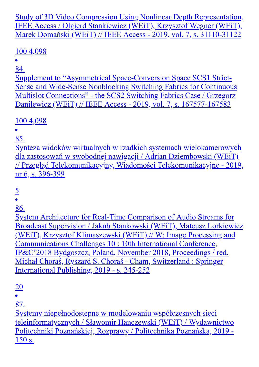Study of 3D Video Compression Using Nonlinear Depth Representation, IEEE Access / Olgierd Stankiewicz (WEiT), Krzysztof Wegner (WEiT), Marek Domański (WEiT) // IEEE Access - 2019, vol. 7, s. 31110-31122

## 100 4,098

84.

Supplement to "Asymmetrical Space-Conversion Space SCS1 Strict-Sense and Wide-Sense Nonblocking Switching Fabrics for Continuous Multislot Connections" - the SCS2 Switching Fabrics Case / Grzegorz Danilewicz (WEiT) // IEEE Access - 2019, vol. 7, s. 167577-167583

## 100 4,098

 $\bullet$ 

85.

Synteza widoków wirtualnych w rzadkich systemach wielokamerowych dla zastosowań w swobodnej nawigacji / Adrian Dziembowski (WEiT) // Przegląd Telekomunikacyjny, Wiadomości Telekomunikacyjne - 2019, nr 6, s. 396-399

## 5

86.

System Architecture for Real-Time Comparison of Audio Streams for Broadcast Supervision / Jakub Stankowski (WEiT), Mateusz Lorkiewicz (WEiT), Krzysztof Klimaszewski (WEiT) // W: Image Processing and Communications Challenges 10 : 10th International Conference, IP&C'2018 Bydgoszcz, Poland, November 2018, Proceedings / red. Michał Choraś, Ryszard S. Choraś - Cham, Switzerland : Springer International Publishing, 2019 - s. 245-252

20

87.

Systemy niepełnodostępne w modelowaniu współczesnych sieci teleinformatycznych / Sławomir Hanczewski (WEiT) / Wydawnictwo Politechniki Poznańskiej, Rozprawy / Politechnika Poznańska, 2019 - 150 s.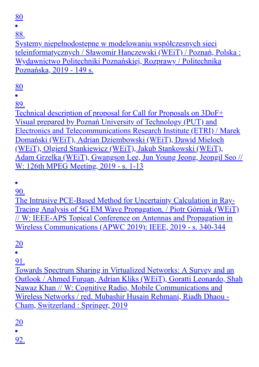80

88.

Systemy niepełnodostępne w modelowaniu współczesnych sieci teleinformatycznych / Sławomir Hanczewski (WEiT) / Poznań, Polska : Wydawnictwo Politechniki Poznańskiej, Rozprawy / Politechnika Poznańska, 2019 - 149 s.

80

89.

Technical description of proposal for Call for Proposals on 3DoF+ Visual prepared by Poznań University of Technology (PUT) and Electronics and Telecommunications Research Institute (ETRI) / Marek Domański (WEiT), Adrian Dziembowski (WEiT), Dawid Mieloch (WEiT), Olgierd Stankiewicz (WEiT), Jakub Stankowski (WEiT), Adam Grzelka (WEiT), Gwangson Lee, Jun Young Jeong, Jeongil Seo // W: 126th MPEG Meeting, 2019 - s. 1-13

90.

The Intrusive PCE-Based Method for Uncertainty Calculation in Ray-Tracing Analysis of 5G EM Wave Propagation. / Piotr Górniak (WEiT) // W: IEEE-APS Topical Conference on Antennas and Propagation in Wireless Communications (APWC 2019): IEEE, 2019 - s. 340-344

20

91.

Towards Spectrum Sharing in Virtualized Networks: A Survey and an Outlook / Ahmed Furqan, Adrian Kliks (WEiT), Goratti Leonardo, Shah Nawaz Khan // W: Cognitive Radio, Mobile Communications and Wireless Networks / red. Mubashir Husain Rehmani, Riadh Dhaou - Cham, Switzerland : Springer, 2019

20

92.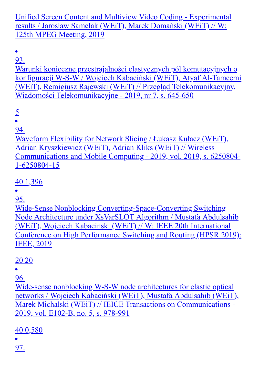Unified Screen Content and Multiview Video Coding - Experimental results / Jarosław Samelak (WEiT), Marek Domański (WEiT) // W: 125th MPEG Meeting, 2019

 $\bullet$ 93.

Warunki konieczne przestrajalności elastycznych pól komutacyjnych o konfiguracji W-S-W / Wojciech Kabaciński (WEiT), Atyaf Al-Tameemi (WEiT), Remigiusz Rajewski (WEiT) // Przegląd Telekomunikacyjny, Wiadomości Telekomunikacyjne - 2019, nr 7, s. 645-650

5

 $\bullet$ 

94.

Waveform Flexibility for Network Slicing / Łukasz Kułacz (WEiT), Adrian Kryszkiewicz (WEiT), Adrian Kliks (WEiT) // Wireless Communications and Mobile Computing - 2019, vol. 2019, s. 6250804- 1-6250804-15

40 1,396

95.

Wide-Sense Nonblocking Converting-Space-Converting Switching Node Architecture under XsVarSLOT Algorithm / Mustafa Abdulsahib (WEiT), Wojciech Kabaciński (WEiT) // W: IEEE 20th International Conference on High Performance Switching and Routing (HPSR 2019): IEEE, 2019

20 20

96.

Wide-sense nonblocking W-S-W node architectures for elastic optical networks / Wojciech Kabaciński (WEiT), Mustafa Abdulsahib (WEiT), Marek Michalski (WEiT) // IEICE Transactions on Communications - 2019, vol. E102-B, no. 5, s. 978-991

40 0,580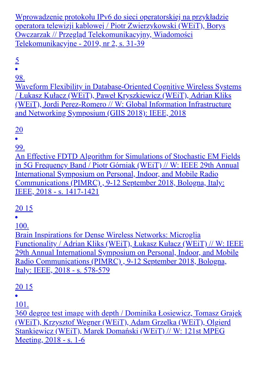Wprowadzenie protokołu IPv6 do sieci operatorskiej na przykładzie operatora telewizji kablowej / Piotr Zwierzykowski (WEiT), Borys Owczarzak // Przegląd Telekomunikacyjny, Wiadomości Telekomunikacyjne - 2019, nr 2, s. 31-39

 $\frac{5}{•}$ 

98.

Waveform Flexibility in Database-Oriented Cognitive Wireless Systems / Łukasz Kułacz (WEiT), Paweł Kryszkiewicz (WEiT), Adrian Kliks (WEiT), Jordi Perez-Romero // W: Global Information Infrastructure and Networking Symposium (GIIS 2018): IEEE, 2018

## 20

99.

An Effective FDTD Algorithm for Simulations of Stochastic EM Fields in 5G Frequency Band / Piotr Górniak (WEiT) // W: IEEE 29th Annual International Symposium on Personal, Indoor, and Mobile Radio Communications (PIMRC) , 9-12 September 2018, Bologna, Italy: IEEE, 2018 - s. 1417-1421

#### 20 15

100.

Brain Inspirations for Dense Wireless Networks: Microglia Functionality / Adrian Kliks (WEiT), Łukasz Kułacz (WEiT) // W: IEEE 29th Annual International Symposium on Personal, Indoor, and Mobile Radio Communications (PIMRC) , 9-12 September 2018, Bologna, Italy: IEEE, 2018 - s. 578-579

20 15

 $\bullet$ 

101.

360 degree test image with depth / Dominika Łosiewicz, Tomasz Grajek (WEiT), Krzysztof Wegner (WEiT), Adam Grzelka (WEiT), Olgierd Stankiewicz (WEiT), Marek Domański (WEiT) // W: 121st MPEG Meeting, 2018 - s. 1-6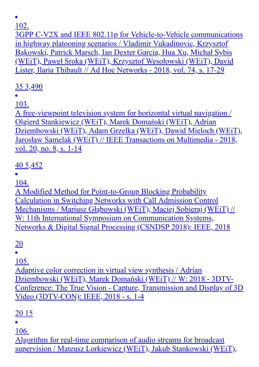3GPP C-V2X and IEEE 802.11p for Vehicle-to-Vehicle communications in highway platooning scenarios / Vladimir Vukadinovic, Krzysztof Bąkowski, Patrick Marsch, Ian Dexter Garcia, Hua Xu, Michał Sybis (WEiT), Paweł Sroka (WEiT), Krzysztof Wesołowski (WEiT), David Lister, Ilaria Thibault // Ad Hoc Networks - 2018, vol. 74, s. 17-29

35 3,490

103.

A free-viewpoint television system for horizontal virtual navigation / Olgierd Stankiewicz (WEiT), Marek Domański (WEiT), Adrian Dziembowski (WEiT), Adam Grzelka (WEiT), Dawid Mieloch (WEiT), Jarosław Samelak (WEiT) // IEEE Transactions on Multimedia - 2018, vol. 20, no. 8, s. 1-14

## 40 5,452

104.

A Modified Method for Point-to-Group Blocking Probability Calculation in Switching Networks with Call Admission Control Mechanisms / Mariusz Głąbowski (WEiT), Maciej Sobieraj (WEiT) // W: 11th International Symposium on Communication Systems, Networks & Digital Signal Processing (CSNDSP 2018): IEEE, 2018

20

105.

Adaptive color correction in virtual view synthesis / Adrian Dziembowski (WEiT), Marek Domański (WEiT) // W: 2018 - 3DTV-Conference: The True Vision - Capture, Transmission and Display of 3D Video (3DTV-CON): IEEE, 2018 - s. 1-4

20 15

106.

Algorithm for real-time comparison of audio streams for broadcast supervision / Mateusz Lorkiewicz (WEiT), Jakub Stankowski (WEiT),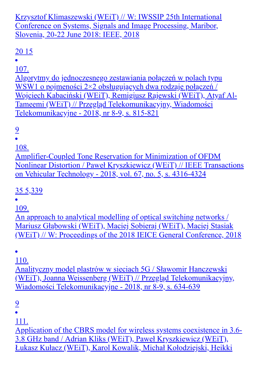Krzysztof Klimaszewski (WEiT) // W: IWSSIP 25th International Conference on Systems, Signals and Image Processing, Maribor, Slovenia, 20-22 June 2018: IEEE, 2018

## 20 15

107.

Algorytmy do jednoczesnego zestawiania połączeń w polach typu WSW1 o pojmeności 2×2 obsługujących dwa rodzaje połączeń / Wojciech Kabaciński (WEiT), Remigiusz Rajewski (WEiT), Atyaf Al-Tameemi (WEiT) // Przegląd Telekomunikacyjny, Wiadomości Telekomunikacyjne - 2018, nr 8-9, s. 815-821

## 9

108.

Amplifier-Coupled Tone Reservation for Minimization of OFDM Nonlinear Distortion / Paweł Kryszkiewicz (WEiT) // IEEE Transactions on Vehicular Technology - 2018, vol. 67, no. 5, s. 4316-4324

## 35 5,339

109.

An approach to analytical modelling of optical switching networks / Mariusz Głąbowski (WEiT), Maciej Sobieraj (WEiT), Maciej Stasiak (WEiT) // W: Proceedings of the 2018 IEICE General Conference, 2018

110.

Analityczny model plastrów w sieciach 5G / Sławomir Hanczewski (WEiT), Joanna Weissenberg (WEiT) // Przegląd Telekomunikacyjny, Wiadomości Telekomunikacyjne - 2018, nr 8-9, s. 634-639

9

111.

Application of the CBRS model for wireless systems coexistence in 3.6- 3.8 GHz band / Adrian Kliks (WEiT), Paweł Kryszkiewicz (WEiT), Łukasz Kułacz (WEiT), Karol Kowalik, Michał Kołodziejski, Heikki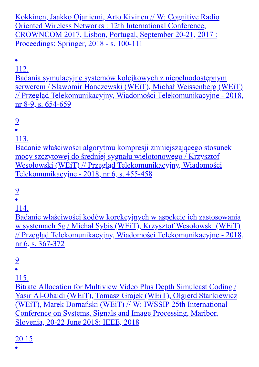Kokkinen, Jaakko Ojaniemi, Arto Kivinen // W: Cognitive Radio Oriented Wireless Networks : 12th International Conference, CROWNCOM 2017, Lisbon, Portugal, September 20-21, 2017 : Proceedings: Springer, 2018 - s. 100-111

112.

Badania symulacyjne systemów kolejkowych z niepełnodostępnym serwerem / Sławomir Hanczewski (WEiT), Michał Weissenberg (WEiT) // Przegląd Telekomunikacyjny, Wiadomości Telekomunikacyjne - 2018, nr 8-9, s. 654-659

9

113.

Badanie właściwości algorytmu kompresji zmniejszającego stosunek mocy szczytowej do średniej sygnału wielotonowego / Krzysztof Wesołowski (WEiT) // Przegląd Telekomunikacyjny, Wiadomości Telekomunikacyjne - 2018, nr 6, s. 455-458

9

114.

Badanie właściwości kodów korekcyjnych w aspekcie ich zastosowania w systemach 5g / Michał Sybis (WEiT), Krzysztof Wesołowski (WEiT) // Przegląd Telekomunikacyjny, Wiadomości Telekomunikacyjne - 2018, nr 6, s. 367-372

9

115.

Bitrate Allocation for Multiview Video Plus Depth Simulcast Coding / Yasir Al-Obaidi (WEiT), Tomasz Grajek (WEiT), Olgierd Stankiewicz (WEiT), Marek Domański (WEiT) // W: IWSSIP 25th International Conference on Systems, Signals and Image Processing, Maribor, Slovenia, 20-22 June 2018: IEEE, 2018

#### 20 15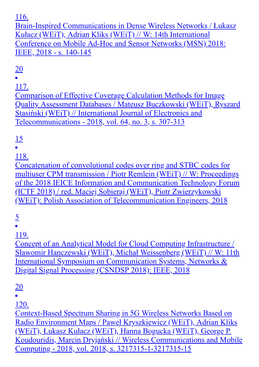Brain-Inspired Communications in Dense Wireless Networks / Łukasz Kułacz (WEiT), Adrian Kliks (WEiT) // W: 14th International Conference on Mobile Ad-Hoc and Sensor Networks (MSN) 2018: IEEE, 2018 - s. 140-145

## 20

117.

Comparison of Effective Coverage Calculation Methods for Image Quality Assessment Databases / Mateusz Buczkowski (WEiT), Ryszard Stasiński (WEiT) // International Journal of Electronics and Telecommunications - 2018, vol. 64, no. 3, s. 307-313

## 15

118.

Concatenation of convolutional codes over ring and STBC codes for multiuser CPM transmission / Piotr Remlein (WEiT) // W: Proceedings of the 2018 IEICE Information and Communication Technology Forum (ICTF 2018) / red. Maciej Sobieraj (WEiT), Piotr Zwierzykowski (WEiT): Polish Association of Telecommunication Engineers, 2018

# $rac{5}{•}$

119.

Concept of an Analytical Model for Cloud Computing Infrastructure / Sławomir Hanczewski (WEiT), Michał Weissenberg (WEiT) // W: 11th International Symposium on Communication Systems, Networks & Digital Signal Processing (CSNDSP 2018): IEEE, 2018

20

120.

Context-Based Spectrum Sharing in 5G Wireless Networks Based on Radio Environment Maps / Paweł Kryszkiewicz (WEiT), Adrian Kliks (WEiT), Łukasz Kułacz (WEiT), Hanna Bogucka (WEiT), George P. Koudouridis, Marcin Dryjański // Wireless Communications and Mobile Computing - 2018, vol. 2018, s. 3217315-1-3217315-15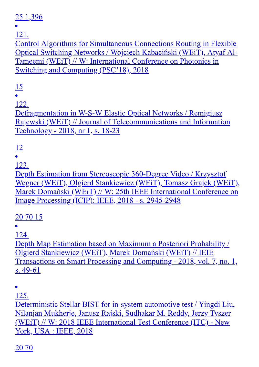#### 25 1,396

121.

Control Algorithms for Simultaneous Connections Routing in Flexible Optical Switching Networks / Wojciech Kabaciński (WEiT), Atyaf Al-Tameemi (WEiT) // W: International Conference on Photonics in Switching and Computing (PSC'18), 2018

## 15

122.

Defragmentation in W-S-W Elastic Optical Networks / Remigiusz Rajewski (WEiT) // Journal of Telecommunications and Information Technology - 2018, nr 1, s. 18-23

# $\frac{12}{1}$

123.

Depth Estimation from Stereoscopic 360-Degree Video / Krzysztof Wegner (WEiT), Olgierd Stankiewicz (WEiT), Tomasz Grajek (WEiT), Marek Domański (WEiT) // W: 25th IEEE International Conference on Image Processing (ICIP): IEEE, 2018 - s. 2945-2948

## 20 70 15

124.

Depth Map Estimation based on Maximum a Posteriori Probability / Olgierd Stankiewicz (WEiT), Marek Domański (WEiT) // IEIE Transactions on Smart Processing and Computing - 2018, vol. 7, no. 1, s. 49-61

 $\bullet$ 

125.

Deterministic Stellar BIST for in-system automotive test / Yingdi Liu, Nilanjan Mukherje, Janusz Rajski, Sudhakar M. Reddy, Jerzy Tyszer (WEiT) // W: 2018 IEEE International Test Conference (ITC) - New York, USA : IEEE, 2018

20 70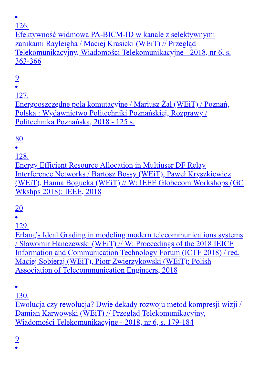Efektywność widmowa PA-BICM-ID w kanale z selektywnymi zanikami Rayleigha / Maciej Krasicki (WEiT) // Przegląd Telekomunikacyjny, Wiadomości Telekomunikacyjne - 2018, nr 6, s. 363-366

9

127.

Energooszczędne pola komutacyjne / Mariusz Żal (WEiT) / Poznań, Polska : Wydawnictwo Politechniki Poznańskiej, Rozprawy / Politechnika Poznańska, 2018 - 125 s.

80

128.

Energy Efficient Resource Allocation in Multiuser DF Relay Interference Networks / Bartosz Bossy (WEiT), Paweł Kryszkiewicz (WEiT), Hanna Bogucka (WEiT) // W: IEEE Globecom Workshops (GC Wkshps 2018): IEEE, 2018

20

129.

Erlang's Ideal Grading in modeling modern telecommunications systems / Sławomir Hanczewski (WEiT) // W: Proceedings of the 2018 IEICE Information and Communication Technology Forum (ICTF 2018) / red. Maciej Sobieraj (WEiT), Piotr Zwierzykowski (WEiT): Polish Association of Telecommunication Engineers, 2018

 $\bullet$ 

130.

Ewolucja czy rewolucja? Dwie dekady rozwoju metod kompresji wizji / Damian Karwowski (WEiT) // Przegląd Telekomunikacyjny, Wiadomości Telekomunikacyjne - 2018, nr 6, s. 179-184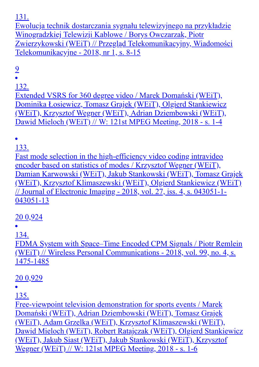Ewolucja technik dostarczania sygnału telewizyjnego na przykładzie Winogradzkiej Telewizji Kablowe / Borys Owczarzak, Piotr Zwierzykowski (WEiT) // Przegląd Telekomunikacyjny, Wiadomości Telekomunikacyjne - 2018, nr 1, s. 8-15

## 9

132.

Extended VSRS for 360 degree video / Marek Domański (WEiT), Dominika Łosiewicz, Tomasz Grajek (WEiT), Olgierd Stankiewicz (WEiT), Krzysztof Wegner (WEiT), Adrian Dziembowski (WEiT), Dawid Mieloch (WEiT) // W: 121st MPEG Meeting, 2018 - s. 1-4

133.

Fast mode selection in the high-efficiency video coding intravideo encoder based on statistics of modes / Krzysztof Wegner (WEiT), Damian Karwowski (WEiT), Jakub Stankowski (WEiT), Tomasz Grajek (WEiT), Krzysztof Klimaszewski (WEiT), Olgierd Stankiewicz (WEiT) // Journal of Electronic Imaging - 2018, vol. 27, iss. 4, s. 043051-1- 043051-13

#### 20 0,924

134.

FDMA System with Space–Time Encoded CPM Signals / Piotr Remlein (WEiT) // Wireless Personal Communications - 2018, vol. 99, no. 4, s. 1475-1485

#### 20 0,929

135.

Free-viewpoint television demonstration for sports events / Marek Domański (WEiT), Adrian Dziembowski (WEiT), Tomasz Grajek (WEiT), Adam Grzelka (WEiT), Krzysztof Klimaszewski (WEiT), Dawid Mieloch (WEiT), Robert Ratajczak (WEiT), Olgierd Stankiewicz (WEiT), Jakub Siast (WEiT), Jakub Stankowski (WEiT), Krzysztof Wegner (WEiT) // W: 121st MPEG Meeting, 2018 - s. 1-6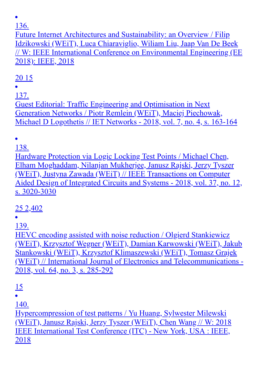Future Internet Architectures and Sustainability: an Overview / Filip Idzikowski (WEiT), Luca Chiaraviglio, Wiliam Liu, Jaap Van De Beek // W: IEEE International Conference on Environmental Engineering (EE 2018): IEEE, 2018

## 20 15

137.

Guest Editorial: Traffic Engineering and Optimisation in Next Generation Networks / Piotr Remlein (WEiT), Maciej Piechowak, Michael D Logothetis // IET Networks - 2018, vol. 7, no. 4, s. 163-164

138.

Hardware Protection via Logic Locking Test Points / Michael Chen, Elham Moghaddam, Nilanjan Mukherjee, Janusz Rajski, Jerzy Tyszer (WEiT), Justyna Zawada (WEiT) // IEEE Transactions on Computer Aided Design of Integrated Circuits and Systems - 2018, vol. 37, no. 12, s. 3020-3030

25 2,402

139.

HEVC encoding assisted with noise reduction / Olgierd Stankiewicz (WEiT), Krzysztof Wegner (WEiT), Damian Karwowski (WEiT), Jakub Stankowski (WEiT), Krzysztof Klimaszewski (WEiT), Tomasz Grajek (WEiT) // International Journal of Electronics and Telecommunications - 2018, vol. 64, no. 3, s. 285-292

15

140.

Hypercompression of test patterns / Yu Huang, Sylwester Milewski (WEiT), Janusz Rajski, Jerzy Tyszer (WEiT), Chen Wang // W: 2018 IEEE International Test Conference (ITC) - New York, USA : IEEE, 2018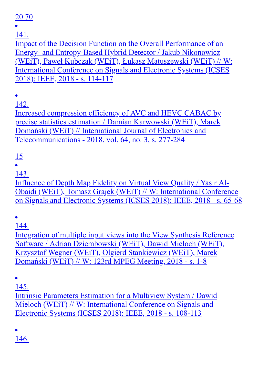20 70

141.

Impact of the Decision Function on the Overall Performance of an Energy- and Entropy-Based Hybrid Detector / Jakub Nikonowicz (WEiT), Paweł Kubczak (WEiT), Łukasz Matuszewski (WEiT) // W: International Conference on Signals and Electronic Systems (ICSES 2018): IEEE, 2018 - s. 114-117

142.

Increased compression efficiency of AVC and HEVC CABAC by precise statistics estimation / Damian Karwowski (WEiT), Marek Domański (WEiT) // International Journal of Electronics and Telecommunications - 2018, vol. 64, no. 3, s. 277-284

## 15

143.

Influence of Depth Map Fidelity on Virtual View Quality / Yasir Al-Obaidi (WEiT), Tomasz Grajek (WEiT) // W: International Conference on Signals and Electronic Systems (ICSES 2018): IEEE, 2018 - s. 65-68

 $\bullet$ 

144.

Integration of multiple input views into the View Synthesis Reference Software / Adrian Dziembowski (WEiT), Dawid Mieloch (WEiT), Krzysztof Wegner (WEiT), Olgierd Stankiewicz (WEiT), Marek Domański (WEiT) // W: 123rd MPEG Meeting, 2018 - s. 1-8

145.

Intrinsic Parameters Estimation for a Multiview System / Dawid Mieloch (WEiT) // W: International Conference on Signals and Electronic Systems (ICSES 2018): IEEE, 2018 - s. 108-113

146.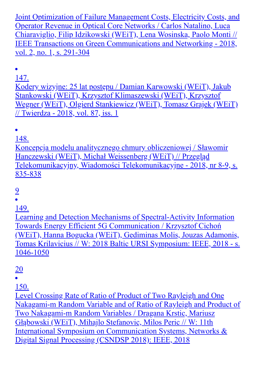Joint Optimization of Failure Management Costs, Electricity Costs, and Operator Revenue in Optical Core Networks / Carlos Natalino, Luca Chiaraviglio, Filip Idzikowski (WEiT), Lena Wosinska, Paolo Monti // IEEE Transactions on Green Communications and Networking - 2018, vol. 2, no. 1, s. 291-304

147.

Kodery wizyjne: 25 lat postępu / Damian Karwowski (WEiT), Jakub Stankowski (WEiT), Krzysztof Klimaszewski (WEiT), Krzysztof Wegner (WEiT), Olgierd Stankiewicz (WEiT), Tomasz Grajek (WEiT) // Twierdza - 2018, vol. 87, iss. 1

148. Koncepcja modelu analitycznego chmury obliczeniowej / Sławomir Hanczewski (WEiT), Michał Weissenberg (WEiT) // Przegląd Telekomunikacyjny, Wiadomości Telekomunikacyjne - 2018, nr 8-9, s. 835-838

9

149.

Learning and Detection Mechanisms of Spectral-Activity Information Towards Energy Efficient 5G Communication / Krzysztof Cichoń (WEiT), Hanna Bogucka (WEiT), Gediminas Molis, Jouzas Adamonis, Tomas Krilavicius // W: 2018 Baltic URSI Symposium: IEEE, 2018 - s. 1046-1050

20

150.

Level Crossing Rate of Ratio of Product of Two Rayleigh and One Nakagami-m Random Variable and of Ratio of Rayleigh and Product of Two Nakagami-m Random Variables / Dragana Krstic, Mariusz Głąbowski (WEiT), Mihajlo Stefanovic, Milos Peric // W: 11th International Symposium on Communication Systems, Networks & Digital Signal Processing (CSNDSP 2018): IEEE, 2018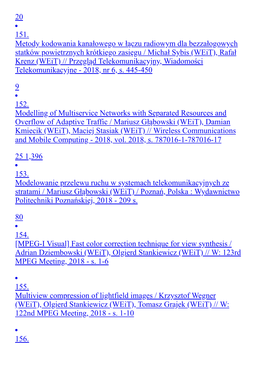20

151.

Metody kodowania kanałowego w łączu radiowym dla bezzałogowych statków powietrznych krótkiego zasięgu / Michał Sybis (WEiT), Rafał Krenz (WEiT) // Przegląd Telekomunikacyjny, Wiadomości Telekomunikacyjne - 2018, nr 6, s. 445-450

9

152.

Modelling of Multiservice Networks with Separated Resources and Overflow of Adaptive Traffic / Mariusz Głąbowski (WEiT), Damian Kmiecik (WEiT), Maciej Stasiak (WEiT) // Wireless Communications and Mobile Computing - 2018, vol. 2018, s. 787016-1-787016-17

## 25 1,396

153.

Modelowanie przelewu ruchu w systemach telekomunikacyjnych ze stratami / Mariusz Głąbowski (WEiT) / Poznań, Polska : Wydawnictwo Politechniki Poznańskiej, 2018 - 209 s.

80

154.

[MPEG-I Visual] Fast color correction technique for view synthesis / Adrian Dziembowski (WEiT), Olgierd Stankiewicz (WEiT) // W: 123rd MPEG Meeting, 2018 - s. 1-6

155.

Multiview compression of lightfield images / Krzysztof Wegner (WEiT), Olgierd Stankiewicz (WEiT), Tomasz Grajek (WEiT) // W: 122nd MPEG Meeting, 2018 - s. 1-10

156.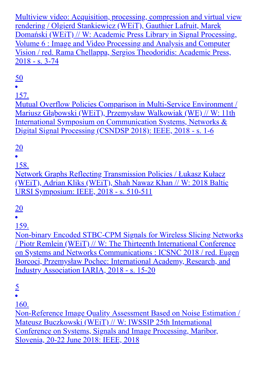Multiview video: Acquisition, processing, compression and virtual view rendering / Olgierd Stankiewicz (WEiT), Gauthier Lafruit, Marek Domański (WEiT) // W: Academic Press Library in Signal Processing, Volume 6 : Image and Video Processing and Analysis and Computer Vision / red. Rama Chellappa, Sergios Theodoridis: Academic Press, 2018 - s. 3-74

50

157.

Mutual Overflow Policies Comparison in Multi-Service Environment / Mariusz Głąbowski (WEiT), Przemysław Walkowiak (WE) // W: 11th International Symposium on Communication Systems, Networks & Digital Signal Processing (CSNDSP 2018): IEEE, 2018 - s. 1-6

## 20

158.

Network Graphs Reflecting Transmission Policies / Łukasz Kułacz (WEiT), Adrian Kliks (WEiT), Shah Nawaz Khan // W: 2018 Baltic URSI Symposium: IEEE, 2018 - s. 510-511

## 20

159.

Non-binary Encoded STBC-CPM Signals for Wireless Slicing Networks / Piotr Remlein (WEiT) // W: The Thirteenth International Conference on Systems and Networks Communications : ICSNC 2018 / red. Eugen Borcoci, Przemysław Pochec: International Academy, Research, and Industry Association IARIA, 2018 - s. 15-20

5

 $\bullet$ 

160.

Non-Reference Image Quality Assessment Based on Noise Estimation / Mateusz Buczkowski (WEiT) // W: IWSSIP 25th International Conference on Systems, Signals and Image Processing, Maribor, Slovenia, 20-22 June 2018: IEEE, 2018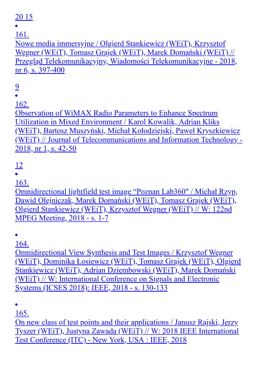#### 20 15

161.

Nowe media immersyjne / Olgierd Stankiewicz (WEiT), Krzysztof Wegner (WEiT), Tomasz Grajek (WEiT), Marek Domański (WEiT) // Przegląd Telekomunikacyjny, Wiadomości Telekomunikacyjne - 2018, nr 6, s. 397-400

## 9

162.

Observation of WiMAX Radio Parameters to Enhance Spectrum Utilization in Mixed Environment / Karol Kowalik, Adrian Kliks (WEiT), Bartosz Muszyński, Michał Kołodziejski, Paweł Kryszkiewicz (WEiT) // Journal of Telecommunications and Information Technology - 2018, nr 1, s. 42-50

#### 12

163.

Omnidirectional lightfield test image "Poznan Lab360" / Michał Rzyp, Dawid Olejniczak, Marek Domański (WEiT), Tomasz Grajek (WEiT), Olgierd Stankiewicz (WEiT), Krzysztof Wegner (WEiT) // W: 122nd MPEG Meeting, 2018 - s. 1-7

164.

Omnidirectional View Synthesis and Test Images / Krzysztof Wegner (WEiT), Dominika Łosiewicz (WEiT), Tomasz Grajek (WEiT), Olgierd Stankiewicz (WEiT), Adrian Dziembowski (WEiT), Marek Domański (WEiT) // W: International Conference on Signals and Electronic Systems (ICSES 2018): IEEE, 2018 - s. 130-133

165.

On new class of test points and their applications / Janusz Rajski, Jerzy Tyszer (WEiT), Justyna Zawada (WEiT) // W: 2018 IEEE International Test Conference (ITC) - New York, USA : IEEE, 2018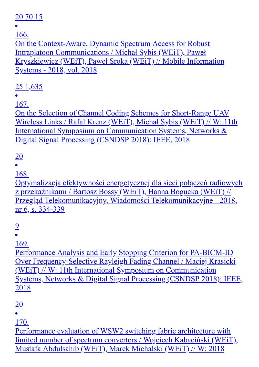#### 20 70 15

166.

On the Context-Aware, Dynamic Spectrum Access for Robust Intraplatoon Communications / Michał Sybis (WEiT), Paweł Kryszkiewicz (WEiT), Paweł Sroka (WEiT) // Mobile Information Systems - 2018, vol. 2018

## 25 1,635

167.

On the Selection of Channel Coding Schemes for Short-Range UAV Wireless Links / Rafał Krenz (WEiT), Michał Sybis (WEiT) // W: 11th International Symposium on Communication Systems, Networks & Digital Signal Processing (CSNDSP 2018): IEEE, 2018

## 20

168.

Optymalizacja efektywności energetycznej dla sieci połączeń radiowych z przekaźnikami / Bartosz Bossy (WEiT), Hanna Bogucka (WEiT) // Przegląd Telekomunikacyjny, Wiadomości Telekomunikacyjne - 2018, nr 6, s. 334-339

# 9

169.

Performance Analysis and Early Stopping Criterion for PA-BICM-ID Over Frequency-Selective Rayleigh Fading Channel / Maciej Krasicki (WEiT) // W: 11th International Symposium on Communication Systems, Networks & Digital Signal Processing (CSNDSP 2018): IEEE, 2018

#### 20

170.

Performance evaluation of WSW2 switching fabric architecture with limited number of spectrum converters / Wojciech Kabaciński (WEiT), Mustafa Abdulsahib (WEiT), Marek Michalski (WEiT) // W: 2018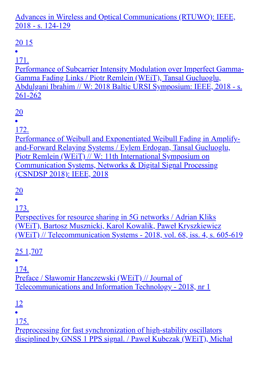Advances in Wireless and Optical Communications (RTUWO): IEEE, 2018 - s. 124-129

## 20 15

171.

Performance of Subcarrier Intensity Modulation over Imperfect Gamma-Gamma Fading Links / Piotr Remlein (WEiT), Tansal Gucluoglu, Abdulgani Ibrahim // W: 2018 Baltic URSI Symposium: IEEE, 2018 - s. 261-262

20

172.

Performance of Weibull and Exponentiated Weibull Fading in Amplifyand-Forward Relaying Systems / Eylem Erdogan, Tansal Gucluoglu, Piotr Remlein (WEiT) // W: 11th International Symposium on Communication Systems, Networks & Digital Signal Processing (CSNDSP 2018): IEEE, 2018

## 20

173.

Perspectives for resource sharing in 5G networks / Adrian Kliks (WEiT), Bartosz Musznicki, Karol Kowalik, Paweł Kryszkiewicz (WEiT) // Telecommunication Systems - 2018, vol. 68, iss. 4, s. 605-619

25 1,707

174.

Preface / Sławomir Hanczewski (WEiT) // Journal of Telecommunications and Information Technology - 2018, nr 1

#### 12

175.

Preprocessing for fast synchronization of high-stability oscillators disciplined by GNSS 1 PPS signal. / Paweł Kubczak (WEiT), Michał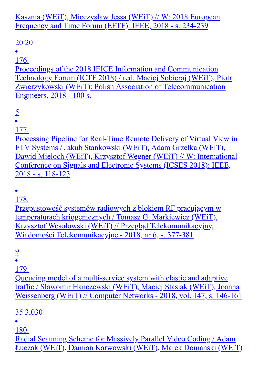Kasznia (WEiT), Mieczysław Jessa (WEiT) // W: 2018 European Frequency and Time Forum (EFTF): IEEE, 2018 - s. 234-239

## 20 20

176.

Proceedings of the 2018 IEICE Information and Communication Technology Forum (ICTF 2018) / red. Maciej Sobieraj (WEiT), Piotr Zwierzykowski (WEiT): Polish Association of Telecommunication Engineers, 2018 - 100 s.

5

177.

Processing Pipeline for Real-Time Remote Delivery of Virtual View in FTV Systems / Jakub Stankowski (WEiT), Adam Grzelka (WEiT), Dawid Mieloch (WEiT), Krzysztof Wegner (WEiT) // W: International Conference on Signals and Electronic Systems (ICSES 2018): IEEE, 2018 - s. 118-123

178.

Przepustowość systemów radiowych z blokiem RF pracującym w temperaturach kriogenicznych / Tomasz G. Markiewicz (WEiT), Krzysztof Wesołowski (WEiT) // Przegląd Telekomunikacyjny, Wiadomości Telekomunikacyjne - 2018, nr 6, s. 377-381

9

179.

Queueing model of a multi-service system with elastic and adaptive traffic / Sławomir Hanczewski (WEiT), Maciej Stasiak (WEiT), Joanna Weissenberg (WEiT) // Computer Networks - 2018, vol. 147, s. 146-161

## 35 3,030

180.

Radial Scanning Scheme for Massively Parallel Video Coding / Adam Łuczak (WEiT), Damian Karwowski (WEiT), Marek Domański (WEiT)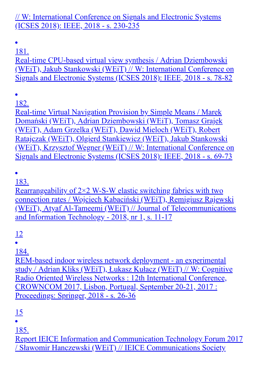#### // W: International Conference on Signals and Electronic Systems (ICSES 2018): IEEE, 2018 - s. 230-235

 $\bullet$ 

181.

Real-time CPU-based virtual view synthesis / Adrian Dziembowski (WEiT), Jakub Stankowski (WEiT) // W: International Conference on Signals and Electronic Systems (ICSES 2018): IEEE, 2018 - s. 78-82

182.

Real-time Virtual Navigation Provision by Simple Means / Marek Domański (WEiT), Adrian Dziembowski (WEiT), Tomasz Grajek (WEiT), Adam Grzelka (WEiT), Dawid Mieloch (WEiT), Robert Ratajczak (WEiT), Olgierd Stankiewicz (WEiT), Jakub Stankowski (WEiT), Krzysztof Wegner (WEiT) // W: International Conference on Signals and Electronic Systems (ICSES 2018): IEEE, 2018 - s. 69-73

183.

Rearrangeability of  $2\times2$  W-S-W elastic switching fabrics with two connection rates / Wojciech Kabaciński (WEiT), Remigiusz Rajewski (WEiT), Atyaf Al-Tameemi (WEiT) // Journal of Telecommunications and Information Technology - 2018, nr 1, s. 11-17

12

184.

REM-based indoor wireless network deployment - an experimental study / Adrian Kliks (WEiT), Łukasz Kułacz (WEiT) // W: Cognitive Radio Oriented Wireless Networks : 12th International Conference, CROWNCOM 2017, Lisbon, Portugal, September 20-21, 2017 : Proceedings: Springer, 2018 - s. 26-36

15

185.

Report IEICE Information and Communication Technology Forum 2017 / Sławomir Hanczewski (WEiT) // IEICE Communications Society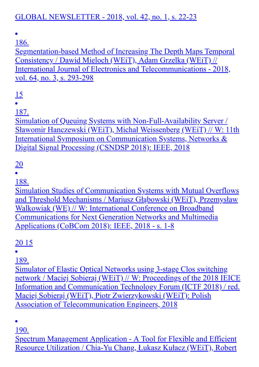#### GLOBAL NEWSLETTER - 2018, vol. 42, no. 1, s. 22-23

 $\bullet$ 

186.

Segmentation-based Method of Increasing The Depth Maps Temporal Consistency / Dawid Mieloch (WEiT), Adam Grzelka (WEiT) // International Journal of Electronics and Telecommunications - 2018, vol. 64, no. 3, s. 293-298

15

187.

Simulation of Queuing Systems with Non-Full-Availability Server / Sławomir Hanczewski (WEiT), Michał Weissenberg (WEiT) // W: 11th International Symposium on Communication Systems, Networks & Digital Signal Processing (CSNDSP 2018): IEEE, 2018

#### 20

188.

Simulation Studies of Communication Systems with Mutual Overflows and Threshold Mechanisms / Mariusz Głąbowski (WEiT), Przemysław Walkowiak (WE) // W: International Conference on Broadband Communications for Next Generation Networks and Multimedia Applications (CoBCom 2018): IEEE, 2018 - s. 1-8

#### 20 15

189.

Simulator of Elastic Optical Networks using 3-stage Clos switching network / Maciej Sobieraj (WEiT) // W: Proceedings of the 2018 IEICE Information and Communication Technology Forum (ICTF 2018) / red. Maciej Sobieraj (WEiT), Piotr Zwierzykowski (WEiT): Polish Association of Telecommunication Engineers, 2018

190.

Spectrum Management Application - A Tool for Flexible and Efficient Resource Utilization / Chia-Yu Chang, Łukasz Kułacz (WEiT), Robert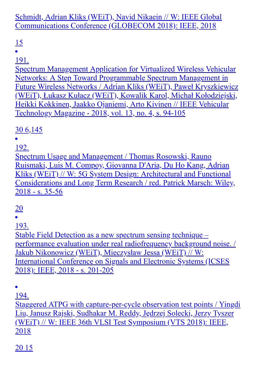Schmidt, Adrian Kliks (WEiT), Navid Nikaein // W: IEEE Global Communications Conference (GLOBECOM 2018): IEEE, 2018

## 15

191.

Spectrum Management Application for Virtualized Wireless Vehicular Networks: A Step Toward Programmable Spectrum Management in Future Wireless Networks / Adrian Kliks (WEiT), Paweł Kryszkiewicz (WEiT), Łukasz Kułacz (WEiT), Kowalik Karol, Michał Kołodziejski, Heikki Kokkinen, Jaakko Ojaniemi, Arto Kivinen // IEEE Vehicular Technology Magazine - 2018, vol. 13, no. 4, s. 94-105

## 30 6,145

192.

Spectrum Usage and Management / Thomas Rosowski, Rauno Ruismaki, Luis M. Compoy, Giovanna D'Aria, Du Ho Kang, Adrian Kliks (WEiT) // W: 5G System Design: Architectural and Functional Considerations and Long Term Research / red. Patrick Marsch: Wiley, 2018 - s. 35-56

## 20

193.

Stable Field Detection as a new spectrum sensing technique – performance evaluation under real radiofrequency background noise. / Jakub Nikonowicz (WEiT), Mieczysław Jessa (WEiT) // W: International Conference on Signals and Electronic Systems (ICSES 2018): IEEE, 2018 - s. 201-205

 $\bullet$ 

194.

Staggered ATPG with capture-per-cycle observation test points / Yingdi Liu, Janusz Rajski, Sudhakar M. Reddy, Jędrzej Solecki, Jerzy Tyszer (WEiT) // W: IEEE 36th VLSI Test Symposium (VTS 2018): IEEE, 2018

20 15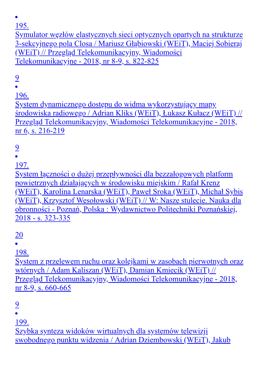Symulator węzłów elastycznych sieci optycznych opartych na strukturze 3-sekcyjnego pola Closa / Mariusz Głąbiowski (WEiT), Maciej Sobieraj (WEiT) // Przegląd Telekomunikacyjny, Wiadomości Telekomunikacyjne - 2018, nr 8-9, s. 822-825

9

196.

System dynamicznego dostępu do widma wykorzystujący mapy środowiska radiowego / Adrian Kliks (WEiT), Łukasz Kułacz (WEiT) // Przegląd Telekomunikacyjny, Wiadomości Telekomunikacyjne - 2018, nr 6, s. 216-219

## 9

197.

System łączności o dużej przepływności dla bezzałogowych platform powietrznych działających w środowisku miejskim / Rafał Krenz (WEiT), Karolina Lenarska (WEiT), Paweł Sroka (WEiT), Michał Sybis (WEiT), Krzysztof Wesołowski (WEiT) // W: Nasze stulecie. Nauka dla obronności - Poznań, Polska : Wydawnictwo Politechniki Poznańskiej, 2018 - s. 323-335

#### 20

198.

System z przelewem ruchu oraz kolejkami w zasobach pierwotnych oraz wtórnych / Adam Kaliszan (WEiT), Damian Kmiecik (WEiT) // Przegląd Telekomunikacyjny, Wiadomości Telekomunikacyjne - 2018, nr 8-9, s. 660-665

9

199.

Szybka synteza widoków wirtualnych dla systemów telewizji swobodnego punktu widzenia / Adrian Dziembowski (WEiT), Jakub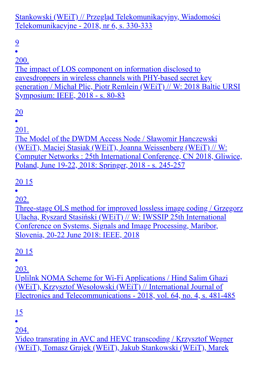Stankowski (WEiT) // Przegląd Telekomunikacyjny, Wiadomości Telekomunikacyjne - 2018, nr 6, s. 330-333

9

 $\bullet$ 

200.

The impact of LOS component on information disclosed to eavesdroppers in wireless channels with PHY-based secret key generation / Michał Plic, Piotr Remlein (WEiT) // W: 2018 Baltic URSI Symposium: IEEE, 2018 - s. 80-83

20

201.

The Model of the DWDM Access Node / Sławomir Hanczewski (WEiT), Maciej Stasiak (WEiT), Joanna Weissenberg (WEiT) // W: Computer Networks : 25th International Conference, CN 2018, Gliwice, Poland, June 19-22, 2018: Springer, 2018 - s. 245-257

20 15

202.

Three-stage OLS method for improved lossless image coding / Grzegorz Ulacha, Ryszard Stasiński (WEiT) // W: IWSSIP 25th International Conference on Systems, Signals and Image Processing, Maribor, Slovenia, 20-22 June 2018: IEEE, 2018

20 15

203.

Uplilnk NOMA Scheme for Wi-Fi Applications / Hind Salim Ghazi (WEiT), Krzysztof Wesołowski (WEiT) // International Journal of Electronics and Telecommunications - 2018, vol. 64, no. 4, s. 481-485

<u>15</u>

204.

Video transrating in AVC and HEVC transcoding / Krzysztof Wegner (WEiT), Tomasz Grajek (WEiT), Jakub Stankowski (WEiT), Marek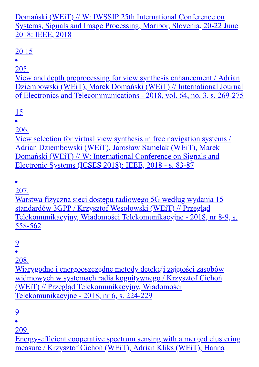#### Domański (WEiT) // W: IWSSIP 25th International Conference on Systems, Signals and Image Processing, Maribor, Slovenia, 20-22 June 2018: IEEE, 2018

## 20 15

205.

View and depth preprocessing for view synthesis enhancement / Adrian Dziembowski (WEiT), Marek Domański (WEiT) // International Journal of Electronics and Telecommunications - 2018, vol. 64, no. 3, s. 269-275

15

206.

View selection for virtual view synthesis in free navigation systems / Adrian Dziembowski (WEiT), Jarosław Samelak (WEiT), Marek Domański (WEiT) // W: International Conference on Signals and Electronic Systems (ICSES 2018): IEEE, 2018 - s. 83-87

207.

Warstwa fizyczna sieci dostępu radiowego 5G według wydania 15 standardów 3GPP / Krzysztof Wesołowski (WEiT) // Przegląd Telekomunikacyjny, Wiadomości Telekomunikacyjne - 2018, nr 8-9, s. 558-562

9

208.

Wiarygodne i energooszczędne metody detekcji zajętości zasobów widmowych w systemach radia kognitywnego / Krzysztof Cichoń (WEiT) // Przegląd Telekomunikacyjny, Wiadomości Telekomunikacyjne - 2018, nr 6, s. 224-229

9

209.

Energy-efficient cooperative spectrum sensing with a merged clustering measure / Krzysztof Cichoń (WEiT), Adrian Kliks (WEiT), Hanna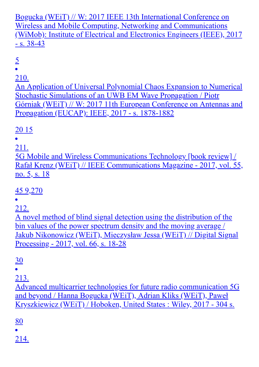Bogucka (WEiT) // W: 2017 IEEE 13th International Conference on Wireless and Mobile Computing, Networking and Communications (WiMob): Institute of Electrical and Electronics Engineers (IEEE), 2017  $- s. 38 - 43$ 

#### 5

#### 210.

An Application of Universal Polynomial Chaos Expansion to Numerical Stochastic Simulations of an UWB EM Wave Propagation / Piotr Górniak (WEiT) // W: 2017 11th European Conference on Antennas and Propagation (EUCAP): IEEE, 2017 - s. 1878-1882

## 20 15

#### 211.

5G Mobile and Wireless Communications Technology [book review] / Rafał Krenz (WEiT) // IEEE Communications Magazine - 2017, vol. 55, no. 5, s. 18

## 45 9,270

## 212.

A novel method of blind signal detection using the distribution of the bin values of the power spectrum density and the moving average / Jakub Nikonowicz (WEiT), Mieczysław Jessa (WEiT) // Digital Signal Processing - 2017, vol. 66, s. 18-28

## 30

213.

Advanced multicarrier technologies for future radio communication 5G and beyond / Hanna Bogucka (WEiT), Adrian Kliks (WEiT), Paweł Kryszkiewicz (WEiT) / Hoboken, United States : Wiley, 2017 - 304 s.

#### 80

214.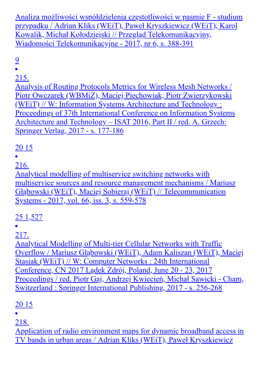Analiza możliwości współdzielenia częstotliwości w pasmie F - studium przypadku / Adrian Kliks (WEiT), Paweł Kryszkiewicz (WEiT), Karol Kowalik, Michał Kołodziejski // Przegląd Telekomunikacyjny, Wiadomości Telekomunikacyjne - 2017, nr 6, s. 388-391

9

#### 215.

Analysis of Routing Protocols Metrics for Wireless Mesh Networks / Piotr Owczarek (WBMiZ), Maciej Piechowiak, Piotr Zwierzykowski (WEiT) // W: Information Systems Architecture and Technology : Proceedings of 37th International Conference on Information Systems Architecture and Technology – ISAT 2016, Part II / red. A. Grzech: Springer Verlag, 2017 - s. 177-186

## 20 15

216.

Analytical modelling of multiservice switching networks with multiservice sources and resource management mechanisms / Mariusz Głąbowski (WEiT), Maciej Sobieraj (WEiT) // Telecommunication Systems - 2017, vol. 66, iss. 3, s. 559-578

## 25 1,527

217.

Analytical Modelling of Multi-tier Cellular Networks with Traffic Overflow / Mariusz Głąbowski (WEiT), Adam Kaliszan (WEiT), Maciej Stasiak (WEiT) // W: Computer Networks : 24th International Conference, CN 2017 Lądek Zdrój, Poland, June 20 - 23, 2017 Proceedings / red. Piotr Gaj, Andrzej Kwiecień, Michał Sawicki - Cham, Switzerland : Springer International Publishing, 2017 - s. 256-268

#### 20 15

218.

Application of radio environment maps for dynamic broadband access in TV bands in urban areas / Adrian Kliks (WEiT), Paweł Kryszkiewicz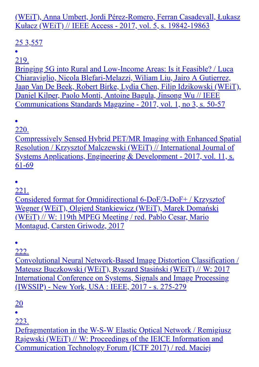(WEiT), Anna Umbert, Jordi Pérez-Romero, Ferran Casadevall, Łukasz Kułacz (WEiT) // IEEE Access - 2017, vol. 5, s. 19842-19863

## 25 3,557

219.

Bringing 5G into Rural and Low-Income Areas: Is it Feasible? / Luca Chiaraviglio, Nicola Blefari-Melazzi, Wiliam Liu, Jairo A Gutierrez, Jaap Van De Beek, Robert Birke, Lydia Chen, Filip Idzikowski (WEiT), Daniel Kilper, Paolo Monti, Antoine Bagula, Jinsong Wu // IEEE Communications Standards Magazine - 2017, vol. 1, no 3, s. 50-57

 $\bullet$ 

220.

Compressively Sensed Hybrid PET/MR Imaging with Enhanced Spatial Resolution / Krzysztof Malczewski (WEiT) // International Journal of Systems Applications, Engineering & Development - 2017, vol. 11, s. 61-69

221.

Considered format for Omnidirectional 6-DoF/3-DoF+ / Krzysztof Wegner (WEiT), Olgierd Stankiewicz (WEiT), Marek Domański (WEiT) // W: 119th MPEG Meeting / red. Pablo Cesar, Mario Montagud, Carsten Griwodz, 2017

222.

Convolutional Neural Network-Based Image Distortion Classification / Mateusz Buczkowski (WEiT), Ryszard Stasiński (WEiT) // W: 2017 International Conference on Systems, Signals and Image Processing (IWSSIP) - New York, USA : IEEE, 2017 - s. 275-279

20

223.

Defragmentation in the W-S-W Elastic Optical Network / Remigiusz Rajewski (WEiT) // W: Proceedings of the IEICE Information and Communication Technology Forum (ICTF 2017) / red. Maciej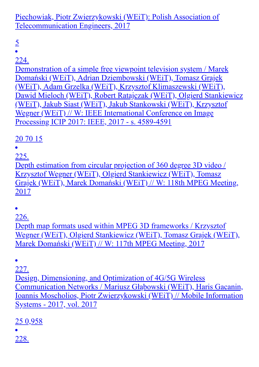Piechowiak, Piotr Zwierzykowski (WEiT): Polish Association of Telecommunication Engineers, 2017

5

 $\bullet$ 

224.

Demonstration of a simple free viewpoint television system / Marek Domański (WEiT), Adrian Dziembowski (WEiT), Tomasz Grajek (WEiT), Adam Grzelka (WEiT), Krzysztof Klimaszewski (WEiT), Dawid Mieloch (WEiT), Robert Ratajczak (WEiT), Olgierd Stankiewicz (WEiT), Jakub Siast (WEiT), Jakub Stankowski (WEiT), Krzysztof Wegner (WEiT) // W: IEEE International Conference on Image Processing ICIP 2017: IEEE, 2017 - s. 4589-4591

20 70 15

225.

Depth estimation from circular projection of 360 degree 3D video / Krzysztof Wegner (WEiT), Olgierd Stankiewicz (WEiT), Tomasz Grajek (WEiT), Marek Domański (WEiT) // W: 118th MPEG Meeting, 2017

226.

Depth map formats used within MPEG 3D frameworks / Krzysztof Wegner (WEiT), Olgierd Stankiewicz (WEiT), Tomasz Grajek (WEiT), Marek Domański (WEiT) // W: 117th MPEG Meeting, 2017

227.

Design, Dimensioning, and Optimization of 4G/5G Wireless Communication Networks / Mariusz Głąbowski (WEiT), Haris Gacanin, Ioannis Moscholios, Piotr Zwierzykowski (WEiT) // Mobile Information Systems - 2017, vol. 2017

25 0,958

228.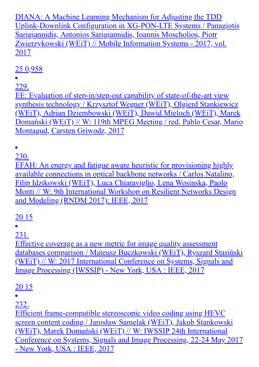DIANA: A Machine Learning Mechanism for Adjusting the TDD Uplink-Downlink Configuration in XG-PON-LTE Systems / Panagiotis Sarigiannidis, Antonios Sarigiannidis, Ioannis Moscholios, Piotr Zwierzykowski (WEiT) // Mobile Information Systems - 2017, vol. 2017

## 25 0,958

229.

EE: Evaluation of step-in/step-out capability of state-of-the-art view synthesis technology / Krzysztof Wegner (WEiT), Olgierd Stankiewicz (WEiT), Adrian Dziembowski (WEiT), Dawid Mieloch (WEiT), Marek Domański (WEiT) // W: 119th MPEG Meeting / red. Pablo Cesar, Mario Montagud, Carsten Griwodz, 2017

230.

EFAH: An energy and fatigue aware heuristic for provisioning highly available connections in optical backbone networks / Carlos Natalino, Filip Idzikowski (WEiT), Luca Chiaraviglio, Lena Wosinska, Paolo Monti // W: 9th International Workshop on Resilient Networks Design and Modeling (RNDM 2017): IEEE, 2017

## 20 15

231.

Effective coverage as a new metric for image quality assessment databases comparison / Mateusz Buczkowski (WEiT), Ryszard Stasiński (WEiT) // W: 2017 International Conference on Systems, Signals and Image Processing (IWSSIP) - New York, USA : IEEE, 2017

## 20 15

 $\bullet$ 

232.

Efficient frame-compatible stereoscopic video coding using HEVC screen content coding / Jarosław Samelak (WEiT), Jakub Stankowski (WEiT), Marek Domański (WEiT) // W: IWSSIP 24th International Conference on Systems, Signals and Image Processing, 22-24 May 2017 - New York, USA : IEEE, 2017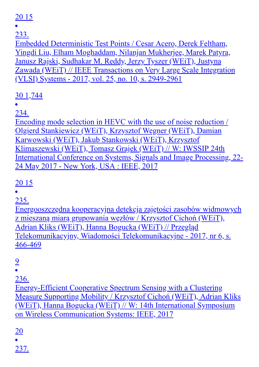## 20 15

233.

Embedded Deterministic Test Points / Cesar Acero, Derek Feltham, Yingdi Liu, Elham Moghaddam, Nilanjan Mukherjee, Marek Patyra, Janusz Rajski, Sudhakar M. Reddy, Jerzy Tyszer (WEiT), Justyna Zawada (WEiT) // IEEE Transactions on Very Large Scale Integration (VLSI) Systems - 2017, vol. 25, no. 10, s. 2949-2961

## 30 1,744

234.

Encoding mode selection in HEVC with the use of noise reduction / Olgierd Stankiewicz (WEiT), Krzysztof Wegner (WEiT), Damian Karwowski (WEiT), Jakub Stankowski (WEiT), Krzysztof Klimaszewski (WEiT), Tomasz Grajek (WEiT) // W: IWSSIP 24th International Conference on Systems, Signals and Image Processing, 22- 24 May 2017 - New York, USA : IEEE, 2017

## 20 15

235.

Energooszczędna kooperacyjna detekcja zajętości zasobów widmowych z mieszaną miarą grupowania węzłów / Krzysztof Cichoń (WEiT), Adrian Kliks (WEiT), Hanna Bogucka (WEiT) // Przegląd Telekomunikacyjny, Wiadomości Telekomunikacyjne - 2017, nr 6, s. 466-469

9

236.

Energy-Efficient Cooperative Spectrum Sensing with a Clustering Measure Supporting Mobility / Krzysztof Cichoń (WEiT), Adrian Kliks (WEiT), Hanna Bogucka (WEiT) // W: 14th International Symposium on Wireless Communication Systems: IEEE, 2017

20

237.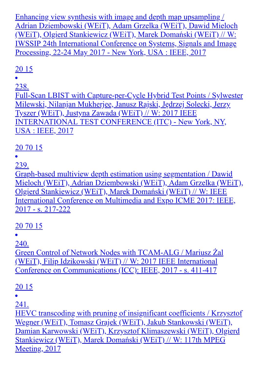Enhancing view synthesis with image and depth map upsampling / Adrian Dziembowski (WEiT), Adam Grzelka (WEiT), Dawid Mieloch (WEiT), Olgierd Stankiewicz (WEiT), Marek Domański (WEiT) // W: IWSSIP 24th International Conference on Systems, Signals and Image Processing, 22-24 May 2017 - New York, USA : IEEE, 2017

## 20 15

238.

Full-Scan LBIST with Capture-per-Cycle Hybrid Test Points / Sylwester Milewski, Nilanjan Mukherjee, Janusz Rajski, Jędrzej Solecki, Jerzy Tyszer (WEiT), Justyna Zawada (WEiT) // W: 2017 IEEE INTERNATIONAL TEST CONFERENCE (ITC) - New York, NY, USA : IEEE, 2017

## 20 70 15

239.

Graph-based multiview depth estimation using segmentation / Dawid Mieloch (WEiT), Adrian Dziembowski (WEiT), Adam Grzelka (WEiT), Olgierd Stankiewicz (WEiT), Marek Domański (WEiT) // W: IEEE International Conference on Multimedia and Expo ICME 2017: IEEE, 2017 - s. 217-222

## 20 70 15

240.

Green Control of Network Nodes with TCAM-ALG / Mariusz Żal (WEiT), Filip Idzikowski (WEiT) // W: 2017 IEEE International Conference on Communications (ICC): IEEE, 2017 - s. 411-417

## 20 15

 $\bullet$ 

241.

HEVC transcoding with pruning of insignificant coefficients / Krzysztof Wegner (WEiT), Tomasz Grajek (WEiT), Jakub Stankowski (WEiT), Damian Karwowski (WEiT), Krzysztof Klimaszewski (WEiT), Olgierd Stankiewicz (WEiT), Marek Domański (WEiT) // W: 117th MPEG Meeting, 2017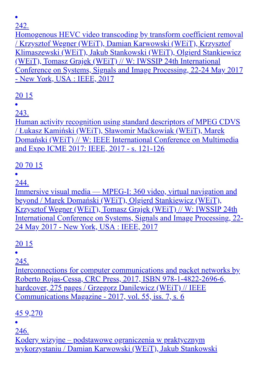Homogenous HEVC video transcoding by transform coefficient removal / Krzysztof Wegner (WEiT), Damian Karwowski (WEiT), Krzysztof Klimaszewski (WEiT), Jakub Stankowski (WEiT), Olgierd Stankiewicz (WEiT), Tomasz Grajek (WEiT) // W: IWSSIP 24th International Conference on Systems, Signals and Image Processing, 22-24 May 2017 - New York, USA : IEEE, 2017

## 20 15

243.

Human activity recognition using standard descriptors of MPEG CDVS / Łukasz Kamiński (WEiT), Sławomir Maćkowiak (WEiT), Marek Domański (WEiT) // W: IEEE International Conference on Multimedia and Expo ICME 2017: IEEE, 2017 - s. 121-126

## 20 70 15

244.

Immersive visual media — MPEG-I: 360 video, virtual navigation and beyond / Marek Domański (WEiT), Olgierd Stankiewicz (WEiT), Krzysztof Wegner (WEiT), Tomasz Grajek (WEiT) // W: IWSSIP 24th International Conference on Systems, Signals and Image Processing, 22- 24 May 2017 - New York, USA : IEEE, 2017

## 20 15

245.

Interconnections for computer communications and packet networks by Roberto Rojas-Cessa, CRC Press, 2017, ISBN 978-1-4822-2696-6, hardcover, 275 pages / Grzegorz Danilewicz (WEiT) // IEEE Communications Magazine - 2017, vol. 55, iss. 7, s. 6

## 45 9,270

246.

Kodery wizyjne – podstawowe ograniczenia w praktycznym wykorzystaniu / Damian Karwowski (WEiT), Jakub Stankowski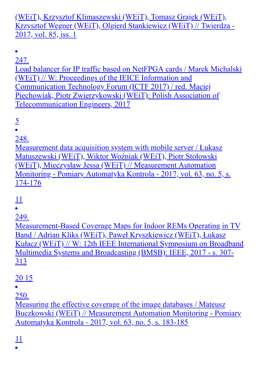(WEiT), Krzysztof Klimaszewski (WEiT), Tomasz Grajek (WEiT), Krzysztof Wegner (WEiT), Olgierd Stankiewicz (WEiT) // Twierdza - 2017, vol. 85, iss. 1

 $\bullet$ 

247. Load balancer for IP traffic based on NetFPGA cards / Marek Michalski (WEiT) // W: Proceedings of the IEICE Information and Communication Technology Forum (ICTF 2017) / red. Maciej Piechowiak, Piotr Zwierzykowski (WEiT): Polish Association of Telecommunication Engineers, 2017

5

 $\bullet$ 

248.

Measurement data acquisition system with mobile server / Łukasz Matuszewski (WEiT), Wiktor Woźniak (WEiT), Piotr Stołowski (WEiT), Mieczysław Jessa (WEiT) // Measurement Automation Monitoring - Pomiary Automatyka Kontrola - 2017, vol. 63, no. 5, s. 174-176

11

249.

Measurement-Based Coverage Maps for Indoor REMs Operating in TV Band / Adrian Kliks (WEiT), Paweł Kryszkiewicz (WEiT), Łukasz Kułacz (WEiT) // W: 12th IEEE International Symposium on Broadband Multimedia Systems and Broadcasting (BMSB): IEEE, 2017 - s. 307- 313

#### 20 15

250.

Measuring the effective coverage of the image databases / Mateusz Buczkowski (WEiT) // Measurement Automation Monitoring - Pomiary Automatyka Kontrola - 2017, vol. 63, no. 5, s. 183-185

11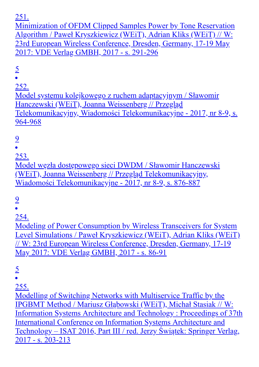Minimization of OFDM Clipped Samples Power by Tone Reservation Algorithm / Paweł Kryszkiewicz (WEiT), Adrian Kliks (WEiT) // W: 23rd European Wireless Conference, Dresden, Germany, 17-19 May 2017: VDE Verlag GMBH, 2017 - s. 291-296

 $rac{5}{•}$ 

252.

Model systemu kolejkowego z ruchem adaptacyjnym / Sławomir Hanczewski (WEiT), Joanna Weissenberg // Przegląd Telekomunikacyjny, Wiadomości Telekomunikacyjne - 2017, nr 8-9, s. 964-968

9

253.

Model węzła dostępowego sieci DWDM / Sławomir Hanczewski (WEiT), Joanna Weissenberg // Przegląd Telekomunikacyjny, Wiadomości Telekomunikacyjne - 2017, nr 8-9, s. 876-887

9

254.

Modeling of Power Consumption by Wireless Transceivers for System Level Simulations / Paweł Kryszkiewicz (WEiT), Adrian Kliks (WEiT) // W: 23rd European Wireless Conference, Dresden, Germany, 17-19 May 2017: VDE Verlag GMBH, 2017 - s. 86-91

5

255.

Modelling of Switching Networks with Multiservice Traffic by the IPGBMT Method / Mariusz Głąbowski (WEiT), Michał Stasiak // W: Information Systems Architecture and Technology : Proceedings of 37th International Conference on Information Systems Architecture and Technology – ISAT 2016, Part III / red. Jerzy Świątek: Springer Verlag, 2017 - s. 203-213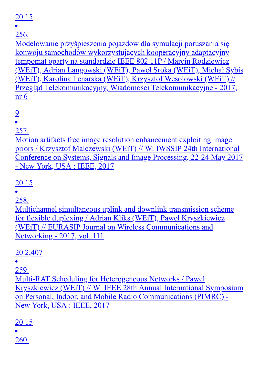## 20 15

256.

Modelowanie przyśpieszenia pojazdów dla symulacji poruszania się konwoju samochodów wykorzystujących kooperacyjny adaptacyjny tempomat oparty na standardzie IEEE 802.11P / Marcin Rodziewicz (WEiT), Adrian Langowski (WEiT), Paweł Sroka (WEiT), Michał Sybis (WEiT), Karolina Lenarska (WEiT), Krzysztof Wesołowski (WEiT) // Przegląd Telekomunikacyjny, Wiadomości Telekomunikacyjne - 2017, nr 6

9

257.

Motion artifacts free image resolution enhancement exploiting image priors / Krzysztof Malczewski (WEiT) // W: IWSSIP 24th International Conference on Systems, Signals and Image Processing, 22-24 May 2017 - New York, USA : IEEE, 2017

20 15

258.

Multichannel simultaneous uplink and downlink transmission scheme for flexible duplexing / Adrian Kliks (WEiT), Paweł Kryszkiewicz (WEiT) // EURASIP Journal on Wireless Communications and Networking - 2017, vol. 111

20 2,407

259.

Multi-RAT Scheduling for Heterogeneous Networks / Paweł Kryszkiewicz (WEiT) // W: IEEE 28th Annual International Symposium on Personal, Indoor, and Mobile Radio Communications (PIMRC) - New York, USA : IEEE, 2017

20 15

260.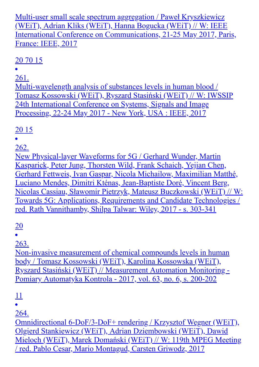Multi-user small scale spectrum aggregation / Paweł Kryszkiewicz (WEiT), Adrian Kliks (WEiT), Hanna Bogucka (WEiT) // W: IEEE International Conference on Communications, 21-25 May 2017, Paris, France: IEEE, 2017

## 20 70 15

261.

Multi-wavelength analysis of substances levels in human blood / Tomasz Kossowski (WEiT), Ryszard Stasiński (WEiT) // W: IWSSIP 24th International Conference on Systems, Signals and Image Processing, 22-24 May 2017 - New York, USA : IEEE, 2017

## 20 15

262.

New Physical-layer Waveforms for 5G / Gerhard Wunder, Martin Kasparick, Peter Jung, Thorsten Wild, Frank Schaich, Yejian Chen, Gerhard Fettweis, Ivan Gaspar, Nicola Michailow, Maximilian Matthé, Luciano Mendes, Dimitri Kténas, Jean-Baptiste Doré, Vincent Berg, Nicolas Cassiau, Sławomir Pietrzyk, Mateusz Buczkowski (WEiT) // W: Towards 5G: Applications, Requirements and Candidate Technologies / red. Rath Vannithamby, Shilpa Talwar: Wiley, 2017 - s. 303-341

20

263.

Non-invasive measurement of chemical compounds levels in human body / Tomasz Kossowski (WEiT), Karolina Kossowska (WEiT), Ryszard Stasiński (WEiT) // Measurement Automation Monitoring - Pomiary Automatyka Kontrola - 2017, vol. 63, no. 6, s. 200-202

11

264.

Omnidirectional 6-DoF/3-DoF+ rendering / Krzysztof Wegner (WEiT), Olgierd Stankiewicz (WEiT), Adrian Dziembowski (WEiT), Dawid Mieloch (WEiT), Marek Domański (WEiT) // W: 119th MPEG Meeting / red. Pablo Cesar, Mario Montagud, Carsten Griwodz, 2017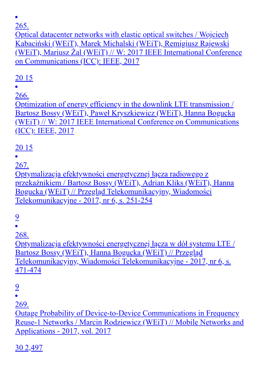Optical datacenter networks with elastic optical switches / Wojciech Kabaciński (WEiT), Marek Michalski (WEiT), Remigiusz Rajewski (WEiT), Mariusz Żal (WEiT) // W: 2017 IEEE International Conference on Communications (ICC): IEEE, 2017

## 20 15

266.

Optimization of energy efficiency in the downlink LTE transmission / Bartosz Bossy (WEiT), Paweł Kryszkiewicz (WEiT), Hanna Bogucka (WEiT) // W: 2017 IEEE International Conference on Communications (ICC): IEEE, 2017

## 20 15

267.

Optymalizacja efektywności energetycznej łącza radiowego z przekaźnikiem / Bartosz Bossy (WEiT), Adrian Kliks (WEiT), Hanna Bogucka (WEiT) // Przegląd Telekomunikacyjny, Wiadomości Telekomunikacyjne - 2017, nr 6, s. 251-254

## 9

268.

Optymalizacja efektywności energetycznej łącza w dół systemu LTE / Bartosz Bossy (WEiT), Hanna Bogucka (WEiT) // Przegląd Telekomunikacyjny, Wiadomości Telekomunikacyjne - 2017, nr 6, s. 471-474

#### 9

 $\bullet$ 

269.

Outage Probability of Device-to-Device Communications in Frequency Reuse-1 Networks / Marcin Rodziewicz (WEiT) // Mobile Networks and Applications - 2017, vol. 2017

30 2,497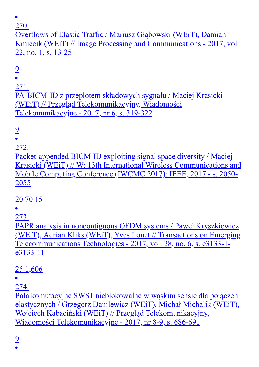Overflows of Elastic Traffic / Mariusz Głąbowski (WEiT), Damian Kmiecik (WEiT) // Image Processing and Communications - 2017, vol. 22, no. 1, s. 13-25

9

271.

PA-BICM-ID z przeplotem składowych sygnału / Maciej Krasicki (WEiT) // Przegląd Telekomunikacyjny, Wiadomości Telekomunikacyjne - 2017, nr 6, s. 319-322

## 9

#### 272.

Packet-appended BICM-ID exploiting signal space diversity / Maciej Krasicki (WEiT) // W: 13th International Wireless Communications and Mobile Computing Conference (IWCMC 2017): IEEE, 2017 - s. 2050- 2055

## 20 70 15

273.

PAPR analysis in noncontiguous OFDM systems / Paweł Kryszkiewicz (WEiT), Adrian Kliks (WEiT), Yves Louet // Transactions on Emerging Telecommunications Technologies - 2017, vol. 28, no. 6, s. e3133-1 e3133-11

25 1,606

274.

Pola komutacyjne SWS1 nieblokowalne w wąskim sensie dla połączeń elastycznych / Grzegorz Danilewicz (WEiT), Michał Michalik (WEiT), Wojciech Kabaciński (WEiT) // Przegląd Telekomunikacyjny, Wiadomości Telekomunikacyjne - 2017, nr 8-9, s. 686-691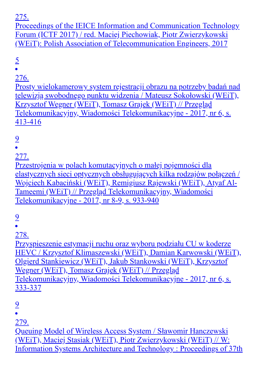Proceedings of the IEICE Information and Communication Technology Forum (ICTF 2017) / red. Maciej Piechowiak, Piotr Zwierzykowski (WEiT): Polish Association of Telecommunication Engineers, 2017

 $rac{5}{•}$ 

#### 276.

Prosty wielokamerowy system rejestracji obrazu na potrzeby badań nad telewizją swobodnego punktu widzenia / Mateusz Sokołowski (WEiT), Krzysztof Wegner (WEiT), Tomasz Grajek (WEiT) // Przegląd Telekomunikacyjny, Wiadomości Telekomunikacyjne - 2017, nr 6, s. 413-416

9

277.

Przestrojenia w polach komutacyjnych o małej pojemności dla elastycznych sieci optycznych obsługujących kilka rodzajów połączeń / Wojciech Kabaciński (WEiT), Remigiusz Rajewski (WEiT), Atyaf Al-Tameemi (WEiT) // Przegląd Telekomunikacyjny, Wiadomości Telekomunikacyjne - 2017, nr 8-9, s. 933-940

9

278.

Przyspieszenie estymacji ruchu oraz wyboru podziału CU w koderze HEVC / Krzysztof Klimaszewski (WEiT), Damian Karwowski (WEiT), Olgierd Stankiewicz (WEiT), Jakub Stankowski (WEiT), Krzysztof Wegner (WEiT), Tomasz Grajek (WEiT) // Przegląd Telekomunikacyjny, Wiadomości Telekomunikacyjne - 2017, nr 6, s. 333-337

9

279.

Queuing Model of Wireless Access System / Sławomir Hanczewski (WEiT), Maciej Stasiak (WEiT), Piotr Zwierzykowski (WEiT) // W: Information Systems Architecture and Technology : Proceedings of 37th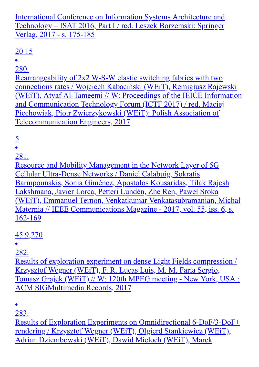International Conference on Information Systems Architecture and Technology – ISAT 2016, Part I / red. Leszek Borzemski: Springer Verlag, 2017 - s. 175-185

## 20 15

280.

Rearrangeability of 2x2 W-S-W elastic switching fabrics with two connections rates / Wojciech Kabaciński (WEiT), Remigiusz Rajewski (WEiT), Atyaf Al-Tameemi // W: Proceedings of the IEICE Information and Communication Technology Forum (ICTF 2017) / red. Maciej Piechowiak, Piotr Zwierzykowski (WEiT): Polish Association of Telecommunication Engineers, 2017

# $\frac{5}{2}$

281.

Resource and Mobility Management in the Network Layer of 5G Cellular Ultra-Dense Networks / Daniel Calabuig, Sokratis Barmpounakis, Sonia Giménez, Apostolos Kousaridas, Tilak Rajesh Lakshmana, Javier Lorca, Petteri Lundén, Zhe Ren, Paweł Sroka (WEiT), Emmanuel Ternon, Venkatkumar Venkatasubramanian, Michał Maternia // IEEE Communications Magazine - 2017, vol. 55, iss. 6, s. 162-169

#### 45 9,270

282.

Results of exploration experiment on dense Light Fields compression / Krzysztof Wegner (WEiT), F. R. Lucas Luis, M. M. Faria Sergio, Tomasz Grajek (WEiT) // W: 120th MPEG meeting - New York, USA : ACM SIGMultimedia Records, 2017

283.

Results of Exploration Experiments on Omnidirectional 6-DoF/3-DoF+ rendering / Krzysztof Wegner (WEiT), Olgierd Stankiewicz (WEiT), Adrian Dziembowski (WEiT), Dawid Mieloch (WEiT), Marek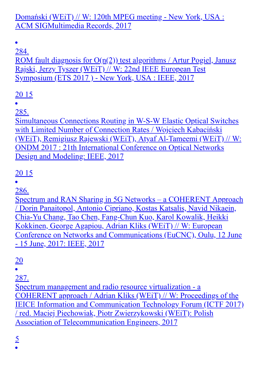#### Domański (WEiT) // W: 120th MPEG meeting - New York, USA : ACM SIGMultimedia Records, 2017

 $\bullet$ 

284.

ROM fault diagnosis for  $O(n(2))$  test algorithms / Artur Pogiel, Janusz Rajski, Jerzy Tyszer (WEiT) // W: 22nd IEEE European Test Symposium (ETS 2017 ) - New York, USA : IEEE, 2017

#### 20 15

285.

Simultaneous Connections Routing in W-S-W Elastic Optical Switches with Limited Number of Connection Rates / Wojciech Kabaciński (WEiT), Remigiusz Rajewski (WEiT), Atyaf Al-Tameemi (WEiT) // W: ONDM 2017 : 21th International Conference on Optical Networks Design and Modeling: IEEE, 2017

#### 20 15

286.

Spectrum and RAN Sharing in 5G Networks – a COHERENT Approach / Dorin Panaitopol, Antonio Cipriano, Kostas Katsalis, Navid Nikaein, Chia-Yu Chang, Tao Chen, Fang-Chun Kuo, Karol Kowalik, Heikki Kokkinen, George Agapiou, Adrian Kliks (WEiT) // W: European Conference on Networks and Communications (EuCNC), Oulu, 12 June - 15 June, 2017: IEEE, 2017

## 20

287.

Spectrum management and radio resource virtualization - a COHERENT approach / Adrian Kliks (WEiT) // W: Proceedings of the IEICE Information and Communication Technology Forum (ICTF 2017) / red. Maciej Piechowiak, Piotr Zwierzykowski (WEiT): Polish Association of Telecommunication Engineers, 2017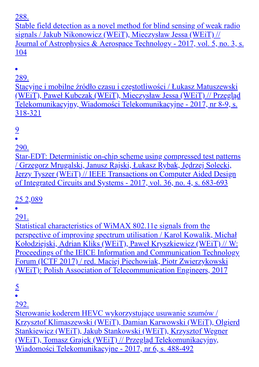Stable field detection as a novel method for blind sensing of weak radio signals / Jakub Nikonowicz (WEiT), Mieczysław Jessa (WEiT) // Journal of Astrophysics & Aerospace Technology - 2017, vol. 5, no. 3, s. 104

289.

Stacyjne i mobilne źródło czasu i częstotliwości / Łukasz Matuszewski (WEiT), Paweł Kubczak (WEiT), Mieczysław Jessa (WEiT) // Przegląd Telekomunikacyjny, Wiadomości Telekomunikacyjne - 2017, nr 8-9, s. 318-321

## 9

290.

Star-EDT: Deterministic on-chip scheme using compressed test patterns / Grzegorz Mrugalski, Janusz Rajski, Łukasz Rybak, Jędrzej Solecki, Jerzy Tyszer (WEiT) // IEEE Transactions on Computer Aided Design of Integrated Circuits and Systems - 2017, vol. 36, no. 4, s. 683-693

25 2,089

291.

Statistical characteristics of WiMAX 802.11e signals from the perspective of improving spectrum utilisation / Karol Kowalik, Michał Kołodziejski, Adrian Kliks (WEiT), Paweł Kryszkiewicz (WEiT) // W: Proceedings of the IEICE Information and Communication Technology Forum (ICTF 2017) / red. Maciej Piechowiak, Piotr Zwierzykowski (WEiT): Polish Association of Telecommunication Engineers, 2017

5

 $\bullet$ 

292.

Sterowanie koderem HEVC wykorzystujące usuwanie szumów / Krzysztof Klimaszewski (WEiT), Damian Karwowski (WEiT), Olgierd Stankiewicz (WEiT), Jakub Stankowski (WEiT), Krzysztof Wegner (WEiT), Tomasz Grajek (WEiT) // Przegląd Telekomunikacyjny, Wiadomości Telekomunikacyjne - 2017, nr 6, s. 488-492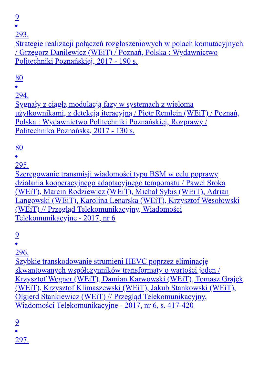9

293.

Strategie realizacji połączeń rozgłoszeniowych w polach komutacyjnych / Grzegorz Danilewicz (WEiT) / Poznań, Polska : Wydawnictwo Politechniki Poznańskiej, 2017 - 190 s.

#### 80

294.

Sygnały z ciągłą modulacją fazy w systemach z wieloma użytkownikami, z detekcją iteracyjną / Piotr Remlein (WEiT) / Poznań, Polska : Wydawnictwo Politechniki Poznańskiej, Rozprawy / Politechnika Poznańska, 2017 - 130 s.

## 80

295.

Szeregowanie transmisji wiadomości typu BSM w celu poprawy działania kooperacyjnego adaptacyjnego tempomatu / Paweł Sroka (WEiT), Marcin Rodziewicz (WEiT), Michał Sybis (WEiT), Adrian Langowski (WEiT), Karolina Lenarska (WEiT), Krzysztof Wesołowski (WEiT) // Przegląd Telekomunikacyjny, Wiadomości Telekomunikacyjne - 2017, nr 6

9

296.

Szybkie transkodowanie strumieni HEVC poprzez eliminację skwantowanych współczynników transformaty o wartości jeden / Krzysztof Wegner (WEiT), Damian Karwowski (WEiT), Tomasz Grajek (WEiT), Krzysztof Klimaszewski (WEiT), Jakub Stankowski (WEiT), Olgierd Stankiewicz (WEiT) // Przegląd Telekomunikacyjny, Wiadomości Telekomunikacyjne - 2017, nr 6, s. 417-420

9

297.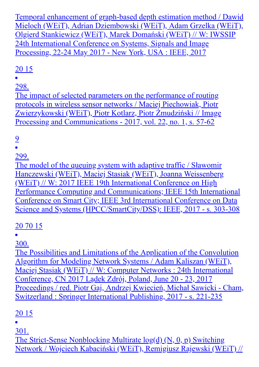Temporal enhancement of graph-based depth estimation method / Dawid Mieloch (WEiT), Adrian Dziembowski (WEiT), Adam Grzelka (WEiT), Olgierd Stankiewicz (WEiT), Marek Domański (WEiT) // W: IWSSIP 24th International Conference on Systems, Signals and Image Processing, 22-24 May 2017 - New York, USA : IEEE, 2017

## 20 15

298.

The impact of selected parameters on the performance of routing protocols in wireless sensor networks / Maciej Piechowiak, Piotr Zwierzykowski (WEiT), Piotr Kotlarz, Piotr Żmudziński // Image Processing and Communications - 2017, vol. 22, no. 1, s. 57-62

# 9

299.

The model of the queuing system with adaptive traffic / Sławomir Hanczewski (WEiT), Maciej Stasiak (WEiT), Joanna Weissenberg (WEiT) // W: 2017 IEEE 19th International Conference on High Performance Computing and Communications; IEEE 15th International Conference on Smart City; IEEE 3rd International Conference on Data Science and Systems (HPCC/SmartCity/DSS): IEEE, 2017 - s. 303-308

## 20 70 15

300.

The Possibilities and Limitations of the Application of the Convolution Algorithm for Modeling Network Systems / Adam Kaliszan (WEiT), Maciej Stasiak (WEiT) // W: Computer Networks : 24th International Conference, CN 2017 Lądek Zdrój, Poland, June 20 - 23, 2017 Proceedings / red. Piotr Gaj, Andrzej Kwiecień, Michał Sawicki - Cham, Switzerland : Springer International Publishing, 2017 - s. 221-235

## 20 15

301.

The Strict-Sense Nonblocking Multirate log(d) (N, 0, p) Switching Network / Wojciech Kabaciński (WEiT), Remigiusz Rajewski (WEiT) //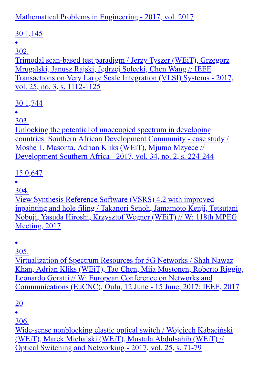### Mathematical Problems in Engineering - 2017, vol. 2017

## 30 1,145

#### 302.

Trimodal scan-based test paradigm / Jerzy Tyszer (WEiT), Grzegorz Mrugalski, Janusz Rajski, Jędrzej Solecki, Chen Wang // IEEE Transactions on Very Large Scale Integration (VLSI) Systems - 2017, vol. 25, no. 3, s. 1112-1125

## 30 1,744

#### 303.

Unlocking the potential of unoccupied spectrum in developing countries: Southern African Development Community - case study / Moshe T. Masonta, Adrian Kliks (WEiT), Mjumo Mzyece // Development Southern Africa - 2017, vol. 34, no. 2, s. 224-244

## 15 0,647

304.

View Synthesis Reference Software (VSRS) 4.2 with improved inpainting and hole filing / Takanori Senoh, Jamamoto Kenji, Tetsutani Nobuji, Yasuda Hiroshi, Krzysztof Wegner (WEiT) // W: 118th MPEG Meeting, 2017

305.

Virtualization of Spectrum Resources for 5G Networks / Shah Nawaz Khan, Adrian Kliks (WEiT), Tao Chen, Miia Mustonen, Roberto Riggio, Leonardo Goratti // W: European Conference on Networks and Communications (EuCNC), Oulu, 12 June - 15 June, 2017: IEEE, 2017

#### 20

306.

Wide-sense nonblocking elastic optical switch / Wojciech Kabaciński (WEiT), Marek Michalski (WEiT), Mustafa Abdulsahib (WEiT) // Optical Switching and Networking - 2017, vol. 25, s. 71-79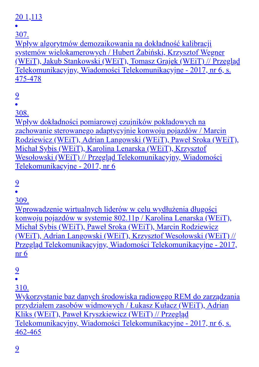## 20 1,113

307.

Wpływ algorytmów demozaikowania na dokładność kalibracji systemów wielokamerowych / Hubert Żabiński, Krzysztof Wegner (WEiT), Jakub Stankowski (WEiT), Tomasz Grajek (WEiT) // Przegląd Telekomunikacyjny, Wiadomości Telekomunikacyjne - 2017, nr 6, s. 475-478

## 9

308.

Wpływ dokładności pomiarowej czujników pokładowych na zachowanie sterowanego adaptycyjnie konwoju pojazdów / Marcin Rodziewicz (WEiT), Adrian Langowski (WEiT), Paweł Sroka (WEiT), Michał Sybis (WEiT), Karolina Lenarska (WEiT), Krzysztof Wesołowski (WEiT) // Przegląd Telekomunikacyjny, Wiadomości Telekomunikacyjne - 2017, nr 6

#### 9

309.

Wprowadzenie wirtualnych liderów w celu wydłużenia długości konwoju pojazdów w systemie 802.11p / Karolina Lenarska (WEiT), Michał Sybis (WEiT), Paweł Sroka (WEiT), Marcin Rodziewicz (WEiT), Adrian Langowski (WEiT), Krzysztof Wesołowski (WEiT) // Przegląd Telekomunikacyjny, Wiadomości Telekomunikacyjne - 2017, nr 6

## 9

310.

Wykorzystanie baz danych środowiska radiowego REM do zarządzania przydziałem zasobów widmowych / Łukasz Kułacz (WEiT), Adrian Kliks (WEiT), Paweł Kryszkiewicz (WEiT) // Przegląd Telekomunikacyjny, Wiadomości Telekomunikacyjne - 2017, nr 6, s. 462-465